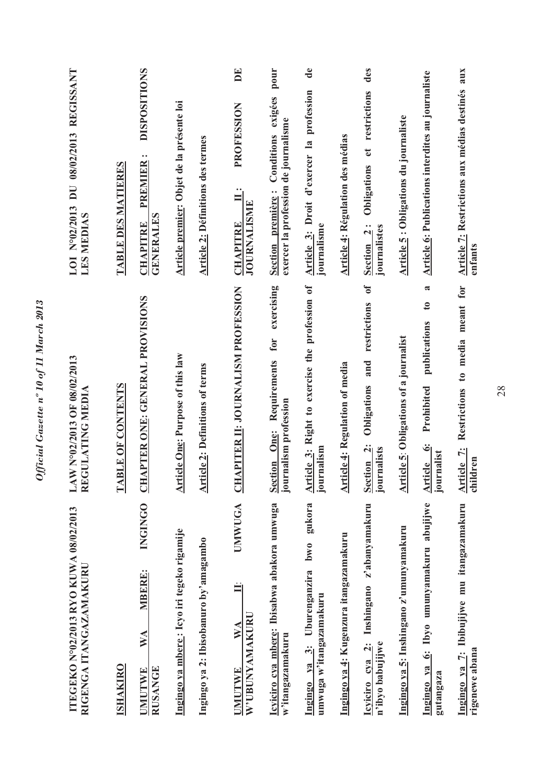| LOI N°02/2013 DU 08/02/2013 REGISSANT<br><b>LES MEDIAS</b>      | TABLE DES MATIERES | <b>DISPOSITIONS</b><br>PREMIER:<br><b>GENERALES</b><br><b>CHAPITRE</b>                 | Article premier: Objet de la présente loi   | <b>Article 2: Définitions des termes</b> | $\mathbf{E}$<br>PROFESSION<br>$\ddot{=}$<br><b>JOURNALISME</b><br><b>CHAPITRE</b> | pour<br>exigées<br>exercer la profession de journalisme<br>Conditions<br>Section première:<br>exercising | de<br>Article 3: Droit d'exercer la profession<br>journalisme           | <b>Article 4: Régulation des médias</b> | des<br>Obligations et restrictions<br>Section <sub>2:</sub><br>journalistes<br>$\mathfrak{b}$ | <b>Article 5: Obligations du journaliste</b> | <b>Article 6: Publications interdites au journaliste</b><br>$\mathbf{\tilde{z}}$<br>$\mathfrak{g}$ | Article 7: Restrictions aux médias destinés aux<br>enfants   |
|-----------------------------------------------------------------|--------------------|----------------------------------------------------------------------------------------|---------------------------------------------|------------------------------------------|-----------------------------------------------------------------------------------|----------------------------------------------------------------------------------------------------------|-------------------------------------------------------------------------|-----------------------------------------|-----------------------------------------------------------------------------------------------|----------------------------------------------|----------------------------------------------------------------------------------------------------|--------------------------------------------------------------|
| LAW N°02/2013 OF 08/02/2013<br>REGULATING MEDIA                 | TABLE OF CONTENTS  | APTER ONE: GENERAL PROVISIONS<br><b>EH</b>                                             | <b>Article One: Purpose of this law</b>     | <b>Article 2: Definitions of terms</b>   | APITER II: JOURNALISM PROFESSION<br>E                                             | Requirements for<br>journalism profession<br>One:<br><b>Section</b>                                      | Article 3: Right to exercise the profession of<br>journalism            | <b>Article 4: Regulation of media</b>   | restrictions<br>and<br>Obligations<br>Section <sub>2</sub> :<br>journalists                   | Article 5: Obligations of a journalist       | publications<br>Prohibited<br>Article 6:<br>rnalist<br>liom                                        | Restrictions to media meant for<br>Article 7:<br>children    |
| ITEGEKO N°02/2013 RYO KUWA 08/02/2013<br>RIGENGA ITANGAZAMAKURU | <b>ISHAKIRO</b>    | <b>INGINGO</b><br>MBERE:<br>$\mathbb{W} \mathbb{A}$<br><b>RUSANGE</b><br><b>UMUTWE</b> | Ingingo ya mbere : Icyo iri tegeko rigamije | Ingingo ya 2: Ibisobanuro by'amagambo    | UMWUGA<br>W'UBUNYAMAKURU<br>$\mathbf{W}$ $\mathbf{A}$<br><b>UMUTWE</b>            | Icyiciro cya mbere: Ibisabwa abakora umwuga<br>w'itangazamakuru                                          | gukora<br>bw0<br>Ingingo ya 3: Uburenganzira<br>umwuga w'itangazamakuru | Ingingo ya 4: Kugenzura itangazamakuru  | Icyiciro cya 2: Inshingano z'abanyamakuru<br>n'ibyo babujijwe                                 | Ingingo ya 5: Inshingano z'umunyamakuru      | Ingingo ya 6: Ibyo umunyamakuru abujijwe<br>gutangaza                                              | Ingingo ya 7: Ibibujijwe mu itangazamakuru<br>rigenewe abana |

Official Gazette nº 10 of 11 March 2013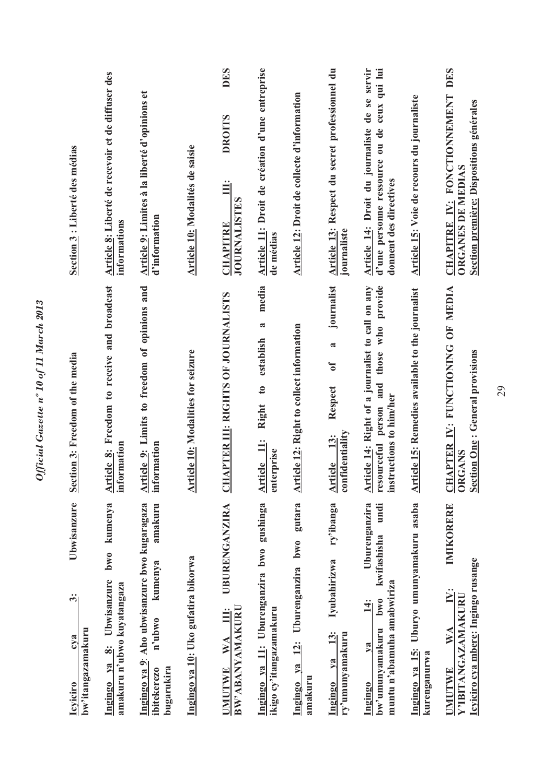| Section 3 : Liberté des médias                                                                  | Article 8: Liberté de recevoir et de diffuser des<br>informations                                          | Article 9: Limites à la liberté d'opinions et<br>d'information                                            | Article 10: Modalités de saisie           | <b>DES</b><br><b>DROITS</b><br>Ë<br><b>JOURNALISTES</b><br><b>CHAPITRE</b> | Article 11: Droit de création d'une entreprise<br>de médias                   | Article 12: Droit de collecte d'information                          | Article 13: Respect du secret professionnel du<br>journaliste                            | Article 14: Droit du journaliste de se servir<br>d'une personne ressource ou de ceux qui lui<br>donnent des directives        | Article 15: Voie de recours du journaliste               | CHAPITRE IV: FONCTIONNEMENT DES<br>Section première: Dispositions générales<br><b>ORGANES DE MEDIAS</b>          |
|-------------------------------------------------------------------------------------------------|------------------------------------------------------------------------------------------------------------|-----------------------------------------------------------------------------------------------------------|-------------------------------------------|----------------------------------------------------------------------------|-------------------------------------------------------------------------------|----------------------------------------------------------------------|------------------------------------------------------------------------------------------|-------------------------------------------------------------------------------------------------------------------------------|----------------------------------------------------------|------------------------------------------------------------------------------------------------------------------|
| Section 3: Freedom of the media                                                                 | Article 8: Freedom to receive and broadcast<br>information                                                 | Article 9: Limits to freedom of opinions and<br>information                                               | <b>Article 10: Modalities for seizure</b> | APTER III: RIGHTS OF JOURNALISTS<br>FO                                     | media<br>a<br>establish<br>$\mathbf{c}$<br>Right<br>Article 11:<br>enterprise | <b>Article 12: Right to collect information</b>                      | journalist<br><b>a</b><br>$\mathfrak{b}$<br>Respect<br>confidentiality<br>13:<br>Article | those who provide<br>Article 14: Right of a journalist to call on any<br>and<br>instructions to him/her<br>resourceful person | <b>Article 15: Remedies available to the journalist</b>  | APTER IV: FUNCTIONING OF MEDIA<br><b>Section One: General provisions</b><br>ORGANS<br>J                          |
| Ubwisanzure<br>$\ddot{\dot{\bf{c}}}$<br>bw'itangazamakuru<br>c <sub>va</sub><br><b>Icyiciro</b> | kumenya<br>bw0<br>Ubwisanzure<br>amakuru n'ubwo kuyatangaza<br>$\ddot{\mathbf{z}}$<br>ya<br><u>Ingingo</u> | Ingingo ya 9: Aho ubwisanzure bwo kugaragaza<br>amakuru<br>kumenya<br>n'ubwo<br>bugarukira<br>ibitekerezo | Ingingo ya 10: Uko gufatira bikorwa       | UBURENGANZIRA<br>BW'ABANYAMAKURU<br>Ë<br>WA<br><b>UMUTWE</b>               | Ingingo ya 11: Uburenganzira bwo gushinga<br>ikigo cy'itangazamakuru          | gutara<br>Uburenganzira bwo<br>$\ddot{2}$ :<br>Ingingo ya<br>amakuru | ry'ibanga<br>Iyubahirizwa<br>13:<br>ry'umunyamakuru<br>ya<br><b>Ingingo</b>              | Uburenganzira<br>undi<br>kwifashisha<br>muntu n'abamuha amabwiriza<br><b>bwo</b><br>14:<br>bw'umunyamakuru<br>$1$<br>Ingingo  | Ingingo ya 15: Uburyo umunyamakuru asaba<br>kurenganurwa | IMIKORERE<br>Icyiciro cya mbere: Ingingo rusange<br>$\ddot{N}$ :<br>Y'IBITANGAZAMAKURU<br>$\mathbb{N}$<br>JMUTWE |

Official Gazette nº 10 of 11 March 2013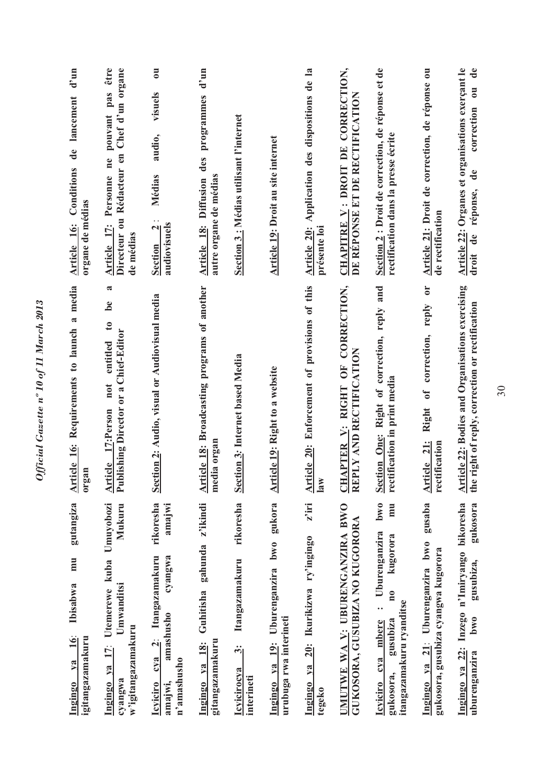| $d'$ un<br>Article 16: Conditions de lancement<br>organe de médias      | Article 17: Personne ne pouvant pas être<br>Directeur ou Rédacteur en Chef d'un organe<br>de médias                            | $\overline{\mathbf{c}}$<br>visuels<br>audio,<br>Médias<br>audiovisuels<br>$\mathbf{N}$<br><b>Section</b>               | $d'$ un<br>programmes<br>Article 18: Diffusion des<br>autre organe de médias | Section 3 : Médias utilisant l'internet                                | Article 19: Droit au site internet                                   | Article 20: Application des dispositions de la<br>présente loi           | CHAPITRE V: DROIT DE CORRECTION,<br>DE REPONSE ET DE RECTIFICATION | Section 2 : Droit de correction, de réponse et de<br>rectification dans la presse écrite                                                                                                              | Article 21: Droit de correction, de réponse ou<br>de rectification                                                              | Article 22: Organes et organisations exerçant le<br>ou de<br>correction<br>$\mathbf{d}\mathbf{e}$<br>réponse,<br>droit de |
|-------------------------------------------------------------------------|--------------------------------------------------------------------------------------------------------------------------------|------------------------------------------------------------------------------------------------------------------------|------------------------------------------------------------------------------|------------------------------------------------------------------------|----------------------------------------------------------------------|--------------------------------------------------------------------------|--------------------------------------------------------------------|-------------------------------------------------------------------------------------------------------------------------------------------------------------------------------------------------------|---------------------------------------------------------------------------------------------------------------------------------|---------------------------------------------------------------------------------------------------------------------------|
| Article 16: Requirements to launch a media<br>organ                     | $\mathbf{\tilde{z}}$<br>be<br>$\mathfrak{g}$<br>Publishing Director or a Chief-Editor<br>entitled<br>not<br>Article 17:Person  | Section 2: Audio, visual or Audiovisual media                                                                          | rticle 18: Broadcasting programs of another<br>media organ<br>ᆌ              | Section 3: Internet based Media                                        | <b>Article 19: Right to a website</b>                                | Article 20: Enforcement of provisions of this<br>$\overline{\mathbf{a}}$ | CHAPTER V: RIGHT OF CORRECTION,<br>REPLY AND RECTIFICATION         | Section One: Right of correction, reply and<br>rectification in print media                                                                                                                           | $\overline{\mathbf{C}}$<br>reply<br>correction,<br>$\mathfrak{h}$<br>Right<br>$\frac{21}{1}$<br>rectification<br><b>Article</b> | Article 22: Bodies and Organisations exercising<br>the right of reply, correction or rectification                        |
| gutangiza<br>mu<br>Ibisabwa<br>16<br>igitangazamakuru<br>$1$<br>Ingingo | Utemerewe kuba Umuyobozi<br>Mukuru<br>Umwanditsi<br>w'igitangazamakuru<br>$\mathbf{I}^{\mathbf{r}}_2$<br>Ingingo ya<br>cyangwa | rikoresha<br>amajwi<br>cyangwa<br>Itangazamakuru<br>amashusho<br>$cya$ 2:<br>n'amashusho<br>amajwi,<br><b>Icyiciro</b> | z'ikindi<br>gahunda<br>Guhitisha<br>gitangazamakuru<br>Ingingo ya 18:        | rikoresha<br>Itangazamakuru<br>ကြံ<br><b>Icyicirocya</b><br>interineti | 19: Uburenganzira bwo gukora<br>urubuga rwa interineti<br>Ingingo ya | $z$ iri<br>20: Ikurikizwa ry'ingingo<br>Ingingo ya<br>tegeko             | UMUTWE WA V: UBURENGANZIRA BWO<br>GUKOSORA, GUSUBIZA NO KUGORORA   | bw <sub>0</sub><br>mu<br>Uburenganzira<br>kugorora<br>$\overline{\mathbf{n}}$<br>itangazamakuru ryanditse<br>$\ddot{\phantom{0}}\phantom{0}$<br>gusubiza<br>cya mbere<br>gukosora,<br><b>Icviciro</b> | gusaba<br>Uburenganzira bwo<br>gukosora, gusubiza cyangwa kugorora<br>21:<br>Ingingo ya                                         | Ingingo ya 22: Inzego n'Imiryango bikoresha<br>gukosora<br>gusubiza,<br><b>bwo</b><br>uburenganzira                       |

Official Gazette nº 10 of 11 March 2013 *Official Gazette nº 10 of 11 March 2013*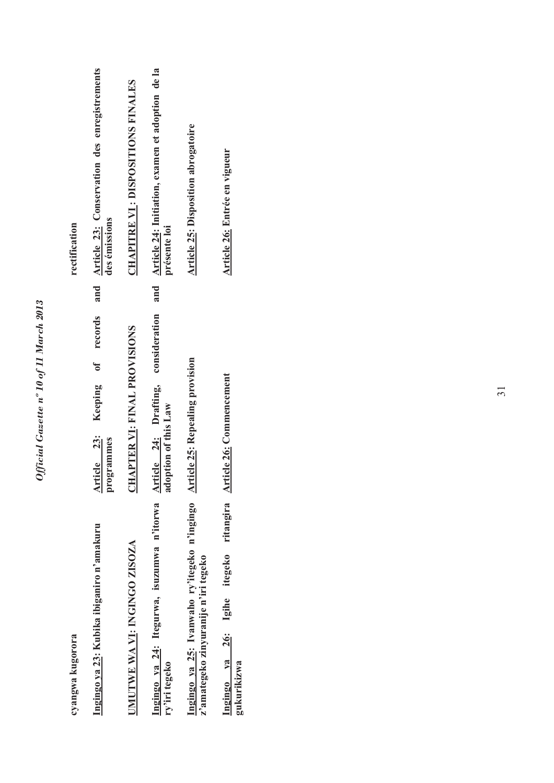| e 100               |
|---------------------|
| i<br>i<br>I         |
| $10\, of$ $II$<br>∍ |
| n<br>540            |
| ζ                   |

| cyangwa kugorora                                                                                                     |                                                                       | rectification                                                    |
|----------------------------------------------------------------------------------------------------------------------|-----------------------------------------------------------------------|------------------------------------------------------------------|
| Ingingo ya 23: Kubika ibiganiro n'amakuru                                                                            | and<br>records<br>t<br>0<br>Article 23: Keeping<br>programmes         | Article 23: Conservation des enregistrements<br>des émissions    |
| UMUTWE WA VI: INGINGO ZISOZA                                                                                         | <b>CHAPTER VI: FINAL PROVISIONS</b>                                   | <b>CHAPITRE VI : DISPOSITIONS FINALES</b>                        |
| Ingingo ya 24: Itegurwa, isuzumwa n'itorwa<br>ry'iri tegeko                                                          | and<br>consideration<br>Article 24: Drafting,<br>adoption of this Law | Article 24: Initiation, examen et adoption de la<br>présente loi |
| Ingingo ya 25: Ivanwaho ry'itegeko n'ingingo Article 25: Repealing provision<br>z'amategeko zinyuranije n'iri tegeko |                                                                       | <b>Article 25: Disposition abrogatoire</b>                       |
| Ingingo ya 26: Igihe itegeko ritangira<br>gukurikizwa                                                                | <b>Article 26: Commencement</b>                                       | Article 26: Entrée en vigueur                                    |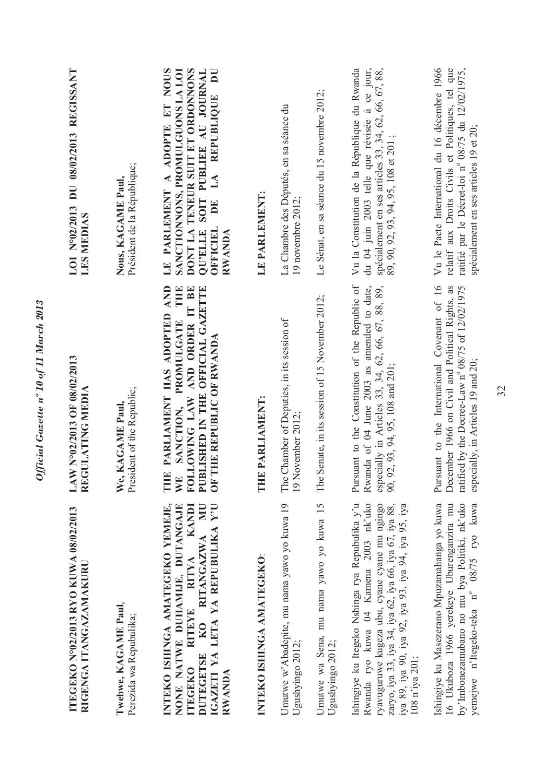| ITEGEKO Nº02/2013 RYO KUWA 08/02/2013<br>RIGENGA ITANGAZAMAKURU                                                                                                                                                                                                              | LAW N°02/2013 OF 08/02/2013<br>REGULATING MEDIA                                                                                                                                            | DU 08/02/2013 REGISSANT<br>LOI Nº02/2013<br><b>LES MEDIAS</b>                                                                                                                                                   |
|------------------------------------------------------------------------------------------------------------------------------------------------------------------------------------------------------------------------------------------------------------------------------|--------------------------------------------------------------------------------------------------------------------------------------------------------------------------------------------|-----------------------------------------------------------------------------------------------------------------------------------------------------------------------------------------------------------------|
| Twebwe, KAGAME Paul,<br>Perezida wa Repubulika;                                                                                                                                                                                                                              | President of the Republic;<br>We, KAGAME Paul                                                                                                                                              | Président de la République;<br>Nous, KAGAME Paul,                                                                                                                                                               |
| INTEKO ISHINGA AMATEGEKO YEMEJE,<br>KO RITANGAZWA MU<br><b>KANDI</b><br>IGAZETI YA LETA YA REPUBULIKA Y'U<br>NONE NATWE DUHAMIJE, DUTANGAJE<br>RITEYE RITYA<br>DUTEGETSE<br><b>ITEGEKO</b><br>RWANDA                                                                         | AND<br>THE<br>FOLLOWING LAW AND ORDER IT BE<br>PUBLISHED IN THE OFFICIAL GAZETTE<br>THE PARLIAMENT HAS ADOPTED<br>PROMULGATE<br>OF THE REPUBLIC OF RWANDA<br>SANCTION,<br>$\mathbb{W}$     | DONT LA TENEUR SUIT ET ORDONNONS<br>ADOPTE ET NOUS<br>SANCTIONNONS, PROMULGUONS LA LOI<br>DU<br>SOIT PUBLIEE AU JOURNAL<br>LA REPUBLIQUE<br>LE PARLEMENT A<br>DE<br><b>OFFICIEL</b><br><b>QU'ELLE</b><br>RWANDA |
| INTEKO ISHINGA AMATEGEKO:                                                                                                                                                                                                                                                    | THE PARLIAMENT:                                                                                                                                                                            | LE PARLEMENT:                                                                                                                                                                                                   |
| Umutwe w'Abadepite, mu nama yawo yo kuwa 19<br>Ugushyingo 2012;                                                                                                                                                                                                              | The Chamber of Deputies, in its session of<br>19 November 2012;                                                                                                                            | La Chambre des Députés, en sa séance du<br>19 novembre 2012;                                                                                                                                                    |
| Umutwe wa Sena, mu nama yawo yo kuwa 15<br>Ugushyingo 2012;                                                                                                                                                                                                                  | Senate, in its session of 15 November 2012;<br>The                                                                                                                                         | Le Sénat, en sa séance du 15 novembre 2012;                                                                                                                                                                     |
| Ishingiye ku Itegeko Nshinga rya Repubulika y'u<br>Rwanda ryo kuwa 04 Kamena 2003 nk'uko<br>ryavuguruwe kugeza ubu, cyane cyane mu ngingo<br>zaryo, iya 33, iya 34, iya 62, iya 66, iya 67, iya 88,<br>iya 89, iya 90, iya 92, iya 93, iya 94, iya 95, iya<br>108 n'iya 201; | Pursuant to the Constitution of the Republic of<br>Rwanda of 04 June 2003 as amended to date,<br>especially in Articles 33, 34, 62, 66, 67, 88, 89,<br>90, 92, 93, 94, 95, 108 and 201;    | du 04 juin 2003 telle que révisée à ce jour,<br>Vu la Constitution de la République du Rwanda<br>spécialement en ses articles 33, 34, 62, 66, 67, 88,<br>89, 90, 92, 93, 94, 95, 108 et 201;                    |
| Ishingiye ku Masezerano Mpuzamahanga yo kuwa<br>16 Ukuboza 1966 yerekeye Uburenganzira mu<br>by'Imbonezamubano no mu bya Politiki, nk'uko<br>yemejwe n'Itegeko-teka nº 08/75 ryo kuwa                                                                                        | Pursuant to the International Covenant of 16<br>December 1966 on Civil and Political Rights, as<br>ratified by the Decree-Law nº 08/75 of 12/02/1975<br>especially, in Articles 19 and 20; | Vu le Pacte International du 16 décembre 1966<br>relatif aux Droits Civils et Politiques, tel que<br>ratifié par le Décret-loi nº 08/75 du 12/02/1975,<br>spécialement en ses articles 19 et 20;                |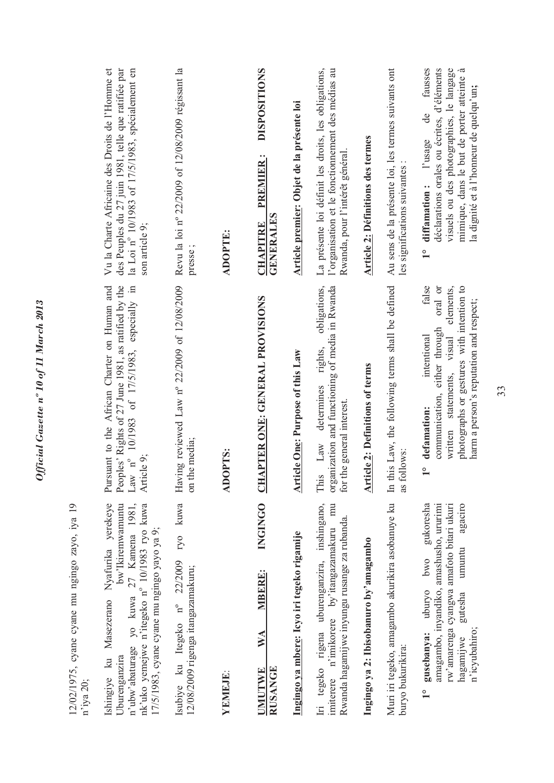| fausses<br>déclarations orales ou écrites, d'éléments<br>Au sens de la présente loi, les termes suivants ont<br>visuels ou des photographies, le langage<br><b>DISPOSITIONS</b><br>La présente loi définit les droits, les obligations,<br>á<br>l'organisation et le fonctionnement des médias au<br>mimique, dans le but de porter atteinte<br>la dignité et à l'homeur de quelqu'un;<br>Article premier: Objet de la présente loi<br>$\frac{1}{\sqrt{2}}$<br><b>Article 2: Définitions des termes</b><br>l'usage<br>Rwanda, pour l'intérêt général<br>PREMIER:<br>les significations suivantes<br>diffamation:<br><b>GENERALES</b><br><b>CHAPITRE</b><br><b>ADOPTE:</b><br>presse;<br>$\frac{1}{1}$ | obligations,<br>false<br>In this Law, the following terms shall be defined<br>organization and functioning of media in Rwanda<br>elements,<br>photographs or gestures with intention to<br>oral or<br>HAPTER ONE: GENERAL PROVISIONS<br>harm a person's reputation and respect;<br>communication, either through<br>intentional<br>visual<br>rights,<br><b>Article One: Purpose of this Law</b><br><b>Article 2: Definitions of terms</b><br>written statements,<br>determines<br>for the general interest.<br>defamation:<br>the media;<br>This Law<br>DOPTS:<br>follows:<br>$\frac{1}{2}$<br>$\sin$<br>as<br>$\overline{\mathbf{C}}$<br>⋜ | <b>INGINGO</b><br>Muri iri tegeko, amagambo akurikira asobanuye ku<br>Iri tegeko rigena uburenganzira, inshingano,<br>agaciro<br>mu<br>amagambo, inyandiko, amashusho, ururimi<br>gukoresha<br>rw'amarenga cyangwa amafoto bitari ukuri<br>Rwanda hagamijwe inyungu rusange za rubanda<br>imiterere n'imikorere by itangazamakuru<br>Ingingo ya mbere: Icyo iri tegeko rigamije<br>Ingingo ya 2: Ibisobanuro by'amagambo<br>umuntu<br>pwo<br>12/08/2009 rigenga itangazamakuru;<br><b>MBERE:</b><br>uburyo<br>gutesha<br>n'icyubahiro;<br>gusebanya:<br>$\mathbb{X}^{\mathsf{A}}$<br>hagamijwe<br>buryo bukurikira:<br><b>JMUTWE</b><br><b>RUSANGE</b><br>YEMEJE: |
|-------------------------------------------------------------------------------------------------------------------------------------------------------------------------------------------------------------------------------------------------------------------------------------------------------------------------------------------------------------------------------------------------------------------------------------------------------------------------------------------------------------------------------------------------------------------------------------------------------------------------------------------------------------------------------------------------------|---------------------------------------------------------------------------------------------------------------------------------------------------------------------------------------------------------------------------------------------------------------------------------------------------------------------------------------------------------------------------------------------------------------------------------------------------------------------------------------------------------------------------------------------------------------------------------------------------------------------------------------------|-------------------------------------------------------------------------------------------------------------------------------------------------------------------------------------------------------------------------------------------------------------------------------------------------------------------------------------------------------------------------------------------------------------------------------------------------------------------------------------------------------------------------------------------------------------------------------------------------------------------------------------------------------------------|
|                                                                                                                                                                                                                                                                                                                                                                                                                                                                                                                                                                                                                                                                                                       |                                                                                                                                                                                                                                                                                                                                                                                                                                                                                                                                                                                                                                             |                                                                                                                                                                                                                                                                                                                                                                                                                                                                                                                                                                                                                                                                   |
|                                                                                                                                                                                                                                                                                                                                                                                                                                                                                                                                                                                                                                                                                                       |                                                                                                                                                                                                                                                                                                                                                                                                                                                                                                                                                                                                                                             |                                                                                                                                                                                                                                                                                                                                                                                                                                                                                                                                                                                                                                                                   |
|                                                                                                                                                                                                                                                                                                                                                                                                                                                                                                                                                                                                                                                                                                       |                                                                                                                                                                                                                                                                                                                                                                                                                                                                                                                                                                                                                                             |                                                                                                                                                                                                                                                                                                                                                                                                                                                                                                                                                                                                                                                                   |
|                                                                                                                                                                                                                                                                                                                                                                                                                                                                                                                                                                                                                                                                                                       |                                                                                                                                                                                                                                                                                                                                                                                                                                                                                                                                                                                                                                             |                                                                                                                                                                                                                                                                                                                                                                                                                                                                                                                                                                                                                                                                   |
|                                                                                                                                                                                                                                                                                                                                                                                                                                                                                                                                                                                                                                                                                                       |                                                                                                                                                                                                                                                                                                                                                                                                                                                                                                                                                                                                                                             |                                                                                                                                                                                                                                                                                                                                                                                                                                                                                                                                                                                                                                                                   |
|                                                                                                                                                                                                                                                                                                                                                                                                                                                                                                                                                                                                                                                                                                       |                                                                                                                                                                                                                                                                                                                                                                                                                                                                                                                                                                                                                                             |                                                                                                                                                                                                                                                                                                                                                                                                                                                                                                                                                                                                                                                                   |
| Revu la loi nº 22/2009 of 12/08/2009 régissant la                                                                                                                                                                                                                                                                                                                                                                                                                                                                                                                                                                                                                                                     | Having reviewed Law nº 22/2009 of 12/08/2009                                                                                                                                                                                                                                                                                                                                                                                                                                                                                                                                                                                                | ryo kuwa<br>Isubiye ku Itegeko n° 22/2009                                                                                                                                                                                                                                                                                                                                                                                                                                                                                                                                                                                                                         |
| Vu la Charte Africaine des Droits de l'Homme et<br>des Peuples du 27 juin 1981, telle que ratifiée par<br>la Loi nº 10/1983 of 17/5/1983, spécialement en<br>son article 9;                                                                                                                                                                                                                                                                                                                                                                                                                                                                                                                           | Peoples' Rights of 27 June 1981, as ratified by the Law $n^{\circ}$ 10/1983 of 17/5/1983, especially in<br>Pursuant to the African Charter on Human and<br>Article 9;                                                                                                                                                                                                                                                                                                                                                                                                                                                                       | Ishingiye ku Masezerano Nyafurika yerekeye<br>n'ubw'abaturage yo kuwa 27 Kamena 1981,<br>nk'uko yemejwe n'itegeko nº 10/1983 ryo kuwa<br>bw'Ikiremwamuntu<br>17/5/1983, cyane cyane mu ngingo yayo ya 9;                                                                                                                                                                                                                                                                                                                                                                                                                                                          |
|                                                                                                                                                                                                                                                                                                                                                                                                                                                                                                                                                                                                                                                                                                       |                                                                                                                                                                                                                                                                                                                                                                                                                                                                                                                                                                                                                                             | 12/02/1975, cyane cyane mu ngingo zayo, iya 19                                                                                                                                                                                                                                                                                                                                                                                                                                                                                                                                                                                                                    |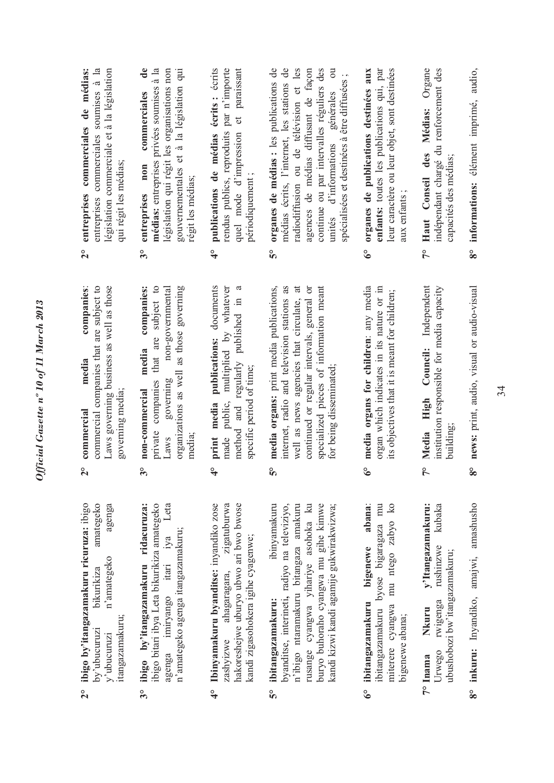- amategeko ibigo by'itangazamakuru ricuruza: ibigo **2° ibigo by'itangazamakuru ricuruza:** ibigo by'ubucuruzi bikurikiza amategeko y'ubucuruzi n'amategeko agenga agenga n'amategeko bikurikiza itangazamakuru; itangazamakuru; by'ubucuruzi y'ubucuruzi  $2^{\circ}$
- ibigo bitari ibya Leta bikurikiza amategeko agenga imiryango itari iya Leta agenga imiryango itari iya Leta ibigo by'itangazamakuru ridacuruza: ibigo bitari ibya Leta bikurikiza amategeko **3° ibigo by'itangazamakuru ridacuruza:** n'amategeko agenga itangazamakuru; n'amategeko agenga itangazamakuru;  $3^\circ$
- 4° Ibinyamakuru byanditse: inyandiko zose **4° Ibinyamakuru byanditse:** inyandiko zose zigatuburwa zashyizwe ahagaragara, zigatuburwa hakoreshejwe uburyo ubwo ari bwo bwose hakoreshejwe uburyo ubwo ari bwo bwose kandi zigasohokera igihe cyagenwe; kandi zigasohokera igihe cyagenwe; zashyizwe ahagaragara,
- ibinyamakuru **5° ibitangazamakuru:** ibinyamakuru byanditse, interineti**,** radiyo na televiziyo, n'ibigo ntaramakuru bitangaza amakuru n'ibigo ntaramakuru bitangaza amakuru rusange cyangwa yihariye asohoka ku buryo buhoraho cyangwa mu gihe kimwe buryo buhoraho cyangwa mu gihe kimwe kandi kizwi kandi agamije gukwirakwizwa; byanditse, interineti, radiyo na televiziyo, rusange cyangwa yihariye asohoka ku kandi kizwi kandi agamije gukwirakwizwa; ibitangazamakuru: °ა
- ibitangazamakuru bigenewe abana: **6° ibitangazamakuru bigenewe abana**: ibitangazamakuru byose bigaragaza mu ibitangazamakuru byose bigaragaza mu miterere cyangwa mu ntego zabyo ko miterere cyangwa mu ntego zabyo ko bigenewe abana; bigenewe abana;  $6^\circ$
- **7° Inama Nkuru y'Itangazamakuru:**  Urwego rwigenga rushinzwe kubaka y'Itangazamakuru: rushinzwe kubaka ubushobozi bw'itangazamakuru; ubushobozi bw'itangazamakuru; rwigenga Nkuru Urwego 7° Inama
- 8° inkuru: Inyandiko, amajwi, amashusho **8° inkuru:** Inyandiko, amajwi, amashusho
- **2° commercial media companies**: commercial companies that are subject to commercial companies that are subject to Laws governing business as well as those Laws governing business as well as those companies: media governing media; governing media; commercial  $\frac{1}{2}$
- **3° non-commercial media companies:**  private companies that are subject to Laws governing non-governmental organizations as well as those governing organizations as well as those governing non-commercial media companies: private companies that are subject to non-governmental governing Laws media;  $3^{\circ}$
- print media publications: documents **4° print media publications:** documents made public, multiplied by whatever made public, multiplied by whatever method and regularly published in a method and regularly published in a specific period of time; specific period of time;  $\frac{6}{4}$
- **5° media organs:** print media publications, nternet, radio and television stations as internet, radio and television stations as well as news agencies that circulate, at well as news agencies that circulate, at continued or regular intervals, general or continued or regular intervals, general or specialized pieces of information meant specialized pieces of information meant media organs: print media publications, for being disseminated; for being disseminated; <u>ိ</u>
- media organs for children: any media **6° media organs for children**: any media organ which indicates in its nature or in organ which indicates in its nature or in its objectives that it is meant for children; its objectives that it is meant for children;  $\delta^{\circ}$
- Media High Council: Independent **7° Media High Council:** Independent institution responsible for media capacity institution responsible for media capacity building;  $\frac{1}{2}$
- **8° news:** print, audio, visual or audio-visual 8° news: print, audio, visual or audio-visual
- entreprises commerciales soumises à la entreprises commerciales soumises à la législation commerciale et à la législation législation commerciale et à la législation entreprises commerciales de médias: **2° entreprises commerciales de médias:** qui régit les médias; qui régit les médias;  $\frac{1}{2}$
- $\mathbf{d}\mathbf{e}$ **3° entreprises non commerciales de**  médias: entreprises privées soumises à la **médias:** entreprises privées soumises à la législation qui régit les organisations non législation qui régit les organisations non gouvernementales et à la législation qui gouvernementales et à la législation qui commerciales entreprises non régit les médias; régit les médias;  $3^{\circ}$
- **4° publications de médias écrits :** écrits rendus publics, reproduits par n'importe rendus publics, reproduits par n'importe quel mode d'impression et paraissant publications de médias écrits: écrits quel mode d'impression et paraissant périodiquement; périodiquement ;  $\frac{6}{4}$
- **5° organes de médias :** les publications de médias écrits, l'internet, les stations de radiodiffusion ou de télévision et les agences de médias diffusant de façon agences de médias diffusant de façon continue ou par intervalles réguliers des continue ou par intervalles réguliers des unités d'informations générales ou organes de médias : les publications de médias écrits, l'internet, les stations de radiodiffusion ou de télévision et les  $\overline{\mathrm{c}}$ spécialisées et destinées à être diffusées; spécialisées et destinées à être diffusées ; d'informations générales unités <u>နိ</u>
- **6° organes de publications destinées aux enfants:** toutes les publications qui, par leur caractère ou leur objet, sont destinées organes de publications destinées aux enfants: toutes les publications qui, par leur caractère ou leur objet, sont destinées aux enfants; aux enfants ;  $6^\circ$
- **7° Haut Conseil des Médias:** Organe indépendant chargé du renforcement des Haut Conseil des Médias: Organe indépendant chargé du renforcement des capacités des médias; capacités des médias;  $\tilde{\mathcal{T}}$
- **8° informations:** élément imprimé, audio, informations: élément imprimé, audio,  $\frac{8}{3}$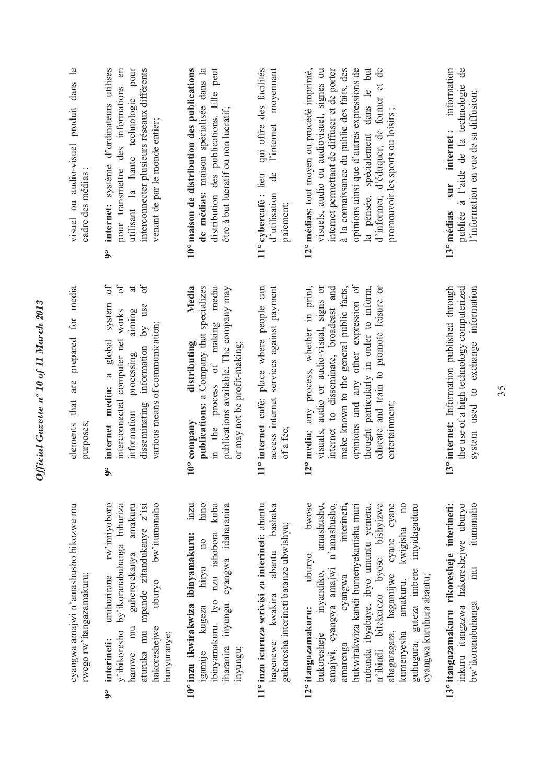| visuel ou audio-visuel produit dans le<br>cadre des médias;       | internet: système d'ordinateurs utilisés<br>pour transmettre des informations en<br>utilisant la haute technologie pour<br>interconnecter plusieurs réseaux différents<br>venant de par le monde entier;<br>$\delta$                                       | distribution des publications. Elle peut<br>10° maison de distribution des publications<br>de médias: maison spécialisée dans la<br>être à but lucratif ou non lucratif;                               | qui offre des facilités<br>moyemant<br>l'internet<br>$\ddot{\theta}$<br>11° cybercafé : lieu<br>d'utilisation<br>paiement;   | 12° médias: tout moyen ou procédé imprimé,<br>visuels, audio ou audiovisuel, signes ou<br>internet permettant de diffuser et de porter<br>opinions ainsi que d'autres expressions de<br>la pensée, spécialement dans le but<br>à la connaissance du public des faits, des<br>d'informer, d'éduquer, de former et de<br>promouvoir les sports ou loisirs;                                                                        | sur internet: information<br>$\mathsf{d}\mathsf{e}$<br>publiée à l'aide de la technologie<br>l'information en vue de sa diffusion;<br>13° médias |
|-------------------------------------------------------------------|------------------------------------------------------------------------------------------------------------------------------------------------------------------------------------------------------------------------------------------------------------|--------------------------------------------------------------------------------------------------------------------------------------------------------------------------------------------------------|------------------------------------------------------------------------------------------------------------------------------|---------------------------------------------------------------------------------------------------------------------------------------------------------------------------------------------------------------------------------------------------------------------------------------------------------------------------------------------------------------------------------------------------------------------------------|--------------------------------------------------------------------------------------------------------------------------------------------------|
| are prepared for media<br>elements that<br>purposes;              | $\sigma$<br>$\sigma$<br>$\delta$<br>$\overline{a}$<br>system<br>disseminating information by use<br>interconnected computer net works<br>aiming<br>various means of communication;<br>global<br>processing<br>internet media: a<br>information<br>$\delta$ | Media<br>publications: a Company that specializes<br>in the process of making media<br>publications available. The company may<br>distributing<br>or may not be profit-making;<br>$10^{\circ}$ company | 11° internet café: place where people can<br>access internet services against payment<br>of a fee;                           | opinions and any other expression of<br>12° media: any process, whether in print,<br>visuals, audio or audio-visual, signs or<br>internet to disseminate, broadcast and<br>make known to the general public facts,<br>thought particularly in order to inform,<br>educate and train to promote leisure or<br>entertainment;                                                                                                     | system used to exchange information<br>13° internet: Information published through<br>the use of a high technology computerized                  |
| cyangwa amajwi n'amashusho bikozwe mu<br>rwego rw'itangazamakuru; | uruhurirane rw'imiyoboro<br>uburyo bw'itumanaho<br>y'ibikoresho by'ikoranabuhanga bihuriza<br>aturuka mu mpande zitandukanye z'isi<br>hamwe mu guhererekanya amakuru<br>hakoreshejwe<br>bunyuranye;<br>interineti:<br>$\int_{0}^{\infty}$                  | hino<br>ibinyamakuru. Iyo nzu ishobora kuba<br>iharanira inyungu cyangwa idaharanira<br>inzu<br>10° inzu ikwirakwiza ibinyamakuru:<br>hirya no<br>igamije kugeza<br>inyungu;                           | 11° inzu icuruza serivisi za interineti: ahantu<br>hagenewe kwakira abantu bashaka<br>gukoresha interineti batanze ubwishyu; | amakuru, kwigisha no<br>uburyo bwose<br>amashusho,<br>cyangwa interineti,<br>rubanda ibyabaye, ibyo umuntu yemera,<br>n'ibindi bitekerezo byose bishyizwe<br>ahagaragara, hagamijwe cyane cyane<br>amajwi, cyangwa amajwi n'amashusho,<br>bukwirakwiza kandi bumenyekanisha muri<br>guhugura, guteza imbere imyidagaduro<br>bukoresheje inyandiko,<br>cyangwa kuruhura abantu;<br>12° itangazamakuru:<br>kumenyesha<br>amarenga | itumanaho<br>13° itangazamakuru rikoresheje interineti:<br>inkuru itangazwa hakoreshejwe uburyo<br>mu<br>bw'ikoranabuhanga                       |

Official Gazette nº 10 of 11 March 2013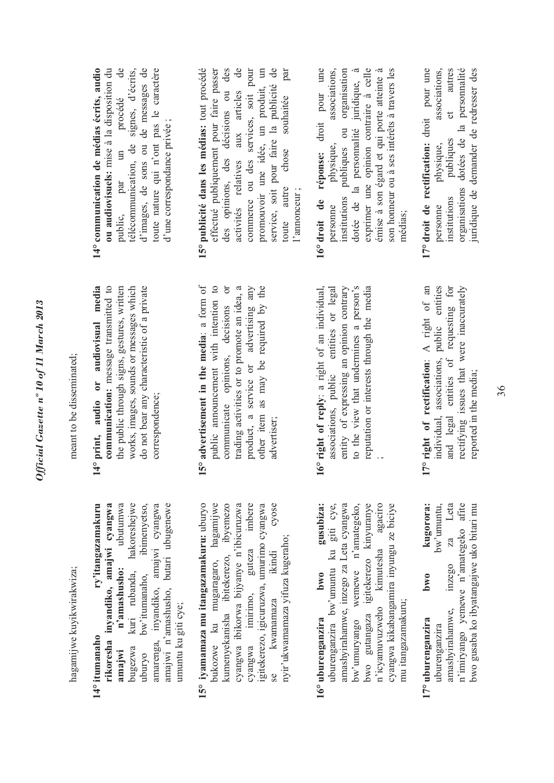hagamijwe kuvikwirakwiza; hagamijwe kuyikwirakwiza;

- **14° itumanaho ry'itangazamakuru**  rikoresha inyandiko, amajwi cyangwa **rikoresha inyandiko, amajwi cyangwa**  ubutumwa **amajwi n'amashusho:** ubutumwa hakoreshejwe bugezwa kuri rubanda, hakoreshejwe uburyo bw'itumanaho, ibimenyetso, amarenga, inyandiko, amajwi cyangwa amarenga, inyandiko, amajwi cyangwa amajwi n'amashusho, butari ubugenewe amajwi n'amashusho, butari ubugenewe ry'itangazamakuru ibimenyetso, n'amashusho: bw'itumanaho, kuri rubanda, umuntu ku giti cye; umuntu ku giti cye; 14° itumanaho bugezwa amajwi uburyo
- cyose 15° iyamamaza mu itangazamakuru: uburyo **15° iyamamaza mu itangazamakuru:** uburyo bukozwe ku mugaragaro, hagamijwe bukozwe ku mugaragaro, hagamijwe kumenyekanisha ibitekerezo, ibyemezo kumenyekanisha ibitekerezo, ibyemezo cyangwa ibikorwa bijyanye n'ibicuruzwa cyangwa ibikorwa bijyanye n'ibicuruzwa guteza imbere cyangwa imirimo, guteza imbere igitekerezo, igicuruzwa, umurimo cyangwa se kwamamaza ikindi cyose igitekerezo, igicuruzwa, umurimo cyangwa nyir'ukwamamaza yifuza kugeraho; nyir'ukwamamaza yifuza kugeraho; ikindi imirimo, kwamamaza cyangwa se
- gusubiza: amashyirahamwe, inzego za Leta cyangwa amashyirahamwe, inzego za Leta cyangwa bw'umuryango wemewe n'amategeko, bwo gutangaza igitekerezo kinyuranye kimutesha agaciro n'icyamuvuzweho kimutesha agaciro cyangwa kikabangamira inyungu ze biciye uburenganzira bw'umuntu ku giti cye, bw'umuryango wemewe n'amategeko, bwo gutangaza igitekerezo kinyuranye cyangwa kikabangamira inyungu ze biciye uburenganzira bw'umuntu ku giti cye, **16° uburenganzira bwo gusubiza:** bwo n'icyamuvuzweho mu itangazamakuru; mu itangazamakuru; 16° uburenganzira
- Leta amashyirahamwe, inzego za Leta n'imiryango yemewe n'amategeko afite n'imiryango yemewe n'amategeko afite bwo gusaba ko ibyatangajwe uko bitari mu kugorora: bwo gusaba ko ibyatangajwe uko bitari mu bw'umuntu, uburenganzira bw'umuntu, **17° uburenganzira bwo kugorora:** za inzego  $bw0$ amashyirahamwe, 17° uburenganzira uburenganzira

meant to be disseminated; meant to be disseminated;

- **14° print, audio or audiovisual media communication:** message transmitted to the public through signs, gestures, written the public through signs, gestures, written works, images, sounds or messages which do not bear any characteristic of a private 14° print, audio or audiovisual media communication: message transmitted to works, images, sounds or messages which do not bear any characteristic of a private correspondence; correspondence;
- 15° advertisement in the media: a form of **15° advertisement in the media**: a form of public announcement with intention to public announcement with intention to communicate opinions, decisions or trading activities or to promote an idea, a trading activities or to promote an idea, a product, a service or advertising any product, a service or advertising any other item as may be required by the other item as may be required by the communicate opinions, decisions or advertiser;
- **16° right of reply**: a right of an individual, associations, public entities or legal entity of expressing an opinion contrary to the view that undermines a person's reputation or interests through the media associations, public entities or legal entity of expressing an opinion contrary to the view that undermines a person's reputation or interests through the media 16° right of reply: a right of an individual, ;
- **17° right of rectification**: A right of an individual, associations, public entities and legal entities of requesting for and legal entities of requesting for rectifying issues that were inaccurately 17° right of rectification: A right of an individual, associations, public entities rectifying issues that were inaccurately reported in the media; reported in the media;
- procédé de **14° communication de médias écrits, audio ou audiovisuels:** mise à la disposition du public, par un procédé de télécommunication, de signes, d'écrits, d'images, de sons ou de messages de toute nature qui n'ont pas le caractère 14° communication de médias écrits, audio ou audiovisuels: mise à la disposition du télécommunication, de signes, d'écrits, d'images, de sons ou de messages de toute nature qui n'ont pas le caractère d'une correspondance privée; d'une correspondance privée ; public, par un
- **15° publicité dans les médias:** tout procédé effectué publiquement pour faire passer des opinions, des décisions ou des activités relatives aux articles de activités relatives aux articles de commerce ou des services, soit pour promouvoir une idée, un produit, un service, soit pour faire la publicité de toute autre chose souhaitée par 15° publicité dans les médias: tout procédé effectué publiquement pour faire passer des opinions, des décisions ou des commerce ou des services, soit pour promouvoir une idée, un produit, un service, soit pour faire la publicité de chose souhaitée par toute autre l'annonceur ; 'annonceur;
- exprimer une opinion contraire à celle **16° droit de réponse:** droit pour une personne physique, associations, institutions publiques ou organisation institutions publiques ou organisation dotée de la personnalité juridique, à dotée de la personnalité juridique, à exprimer une opinion contraire à celle émise à son égard et qui porte atteinte à émise à son égard et qui porte atteinte à son honneur ou à ses intérêts à travers les 16° droit de réponse: droit pour une associations, son honneur ou à ses intérêts à travers les physique, personne médias;
- **17° droit de rectification:** droit pour une personne physique, associations, institutions publiques et autres organisations dotées de la personnalité juridique de demander de redresser des 17° droit de rectification: droit pour une associations, autres organisations dotées de la personnalité uridique de demander de redresser des  $et$ publiques physique, institutions personne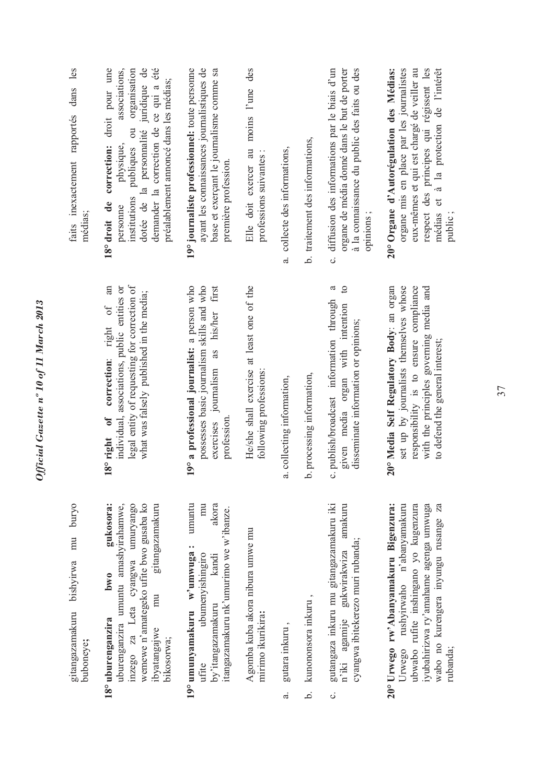|            | gitangazamakuru bishyirwa mu buryo<br>buboneye;                                                                                                                                                                        |                                                                                                                                                                                                                                 | faits inexactement rapportés dans les<br>médias;                                                                                                                                                                                                                                    |
|------------|------------------------------------------------------------------------------------------------------------------------------------------------------------------------------------------------------------------------|---------------------------------------------------------------------------------------------------------------------------------------------------------------------------------------------------------------------------------|-------------------------------------------------------------------------------------------------------------------------------------------------------------------------------------------------------------------------------------------------------------------------------------|
|            | gukosora:<br>wemewe n'amategeko ufite bwo gusaba ko<br>inzego za Leta cyangwa umuryango<br>uburenganzira umuntu amashyirahamwe,<br>gitangazamakuru<br>bw0<br>mu<br>18° uburenganzira<br>ibyatangajwe<br>bikosorwa;     | legal entity of requesting for correction of<br>an<br>individual, associations, public entities or<br>what was falsely published in the media;<br>$\sigma$ f<br>correction: right<br>$\delta$<br>8° right                       | droit pour une<br>dotée de la personnalité juridique de<br>demander la correction de ce qui a été<br>associations,<br>organisation<br>préalablement annoncé dans les médias;<br>$\overline{c}$<br>publiques<br>physique,<br>correction:<br>institutions<br>18° droit de<br>personne |
|            | umuntu<br>akora<br>mu<br>itangazamakuru nk'umurimo we w'ibanze.<br>19° umunyamakuru w'umwuga:<br>ubumenyishingiro<br>kandi<br>by'itangazamakuru<br>ufite                                                               | 9° a professional journalist: a person who<br>possesses basic journalism skills and who<br>first<br>exercises journalism as his/her<br>profession.                                                                              | 19° journaliste professionnel: toute personne<br>ayant les connaissances journalistiques de<br>base et exerçant le journalisme comme sa<br>première profession.                                                                                                                     |
|            | Agomba kuba akora nibura umwe mu<br>mirimo ikurikira:                                                                                                                                                                  | He/she shall exercise at least one of the<br>following professions:                                                                                                                                                             | des<br>Elle doit exercer au moins l'une<br>professions suivantes :                                                                                                                                                                                                                  |
| $\ddot{a}$ | gutara inkuru,                                                                                                                                                                                                         | collecting information,<br>$\ddot{a}$                                                                                                                                                                                           | a. collecte des informations,                                                                                                                                                                                                                                                       |
| خ.         | kunononsora inkuru,                                                                                                                                                                                                    | processing information,<br>.<br>م                                                                                                                                                                                               | b. traitement des informations,                                                                                                                                                                                                                                                     |
| ن<br>      | gutangaza inkuru mu gitangazamakuru iki<br>amakuru<br>cyangwa ibitekerezo muri rubanda;<br>n'iki agamije gukwirakwiza                                                                                                  | $\mathbf{c}$<br>ನ<br>publish/broadcast information through<br>given media organ with intention<br>disseminate information or opinions;<br>c,                                                                                    | à la connaissance du public des faits ou des<br>c. diffusion des informations par le biais d'un<br>organe de média donné dans le but de porter<br>opinions;                                                                                                                         |
|            | 20° Urwego rw'Abanyamakuru Bigenzura:<br>ubwabo rufite inshingano yo kugenzura<br>iyubahirizwa ry'amahame agenga umwuga<br>Za<br>rushyirwaho n'abanyamakuru<br>wabo no kurengera inyungu rusange<br>Urwego<br>rubanda; | 0° Media Self Regulatory Body: an organ<br>set up by journalists themselves whose<br>responsibility is to ensure compliance<br>with the principles governing media and<br>to defend the general interest;<br>$\bar{\mathsf{N}}$ | 20° Organe d'Autorégulation des Médias:<br>organe mis en place par les journalistes<br>eux-mêmes et qui est chargé de veiller au<br>respect des principes qui régissent les<br>et à la protection de l'intérêt<br>médias<br>public;                                                 |

*Official Gazette nº 10 of 11 March 2013* 

Official Gazette nº 10 of 11 March 2013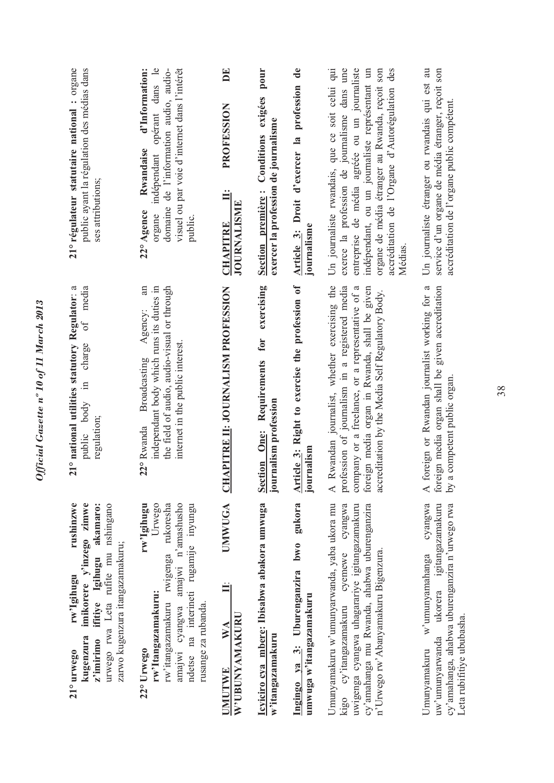| 21° régulateur statutaire national : organe<br>public ayant la régulation des médias dans<br>ses attributions;                                                                                       | opérant dans le<br>domaine de l'information audio, audio-<br>visuel ou par voie d'internet dans l'intérêt<br>d'Information:<br>Rwandaise<br>indépendant<br>22° Agence<br>organe<br>public.            | DE<br>PROFESSION<br>JOURNALISME<br><b>CHAPITRE</b>   | pour<br>Conditions exigées<br>exercer la profession de journalisme<br>Section première: | profession de<br>Article 3: Droit d'exercer la<br>journalisme        | Un journaliste rwandais, que ce soit celui qui<br>exerce la profession de journalisme dans une<br>entreprise de média agréée ou un journaliste<br>des<br>indépendant, ou un journaliste représentant un<br>organe de média étranger au Rwanda, reçoit son<br>accréditation de l'Organe d'Autorégulation<br>Médias. | Un journaliste étranger ou rwandais qui est au<br>service d'un organe de média étranger, reçoit son<br>accréditation de l'organe public compétent.                       |
|------------------------------------------------------------------------------------------------------------------------------------------------------------------------------------------------------|-------------------------------------------------------------------------------------------------------------------------------------------------------------------------------------------------------|------------------------------------------------------|-----------------------------------------------------------------------------------------|----------------------------------------------------------------------|--------------------------------------------------------------------------------------------------------------------------------------------------------------------------------------------------------------------------------------------------------------------------------------------------------------------|--------------------------------------------------------------------------------------------------------------------------------------------------------------------------|
| 21° national utilities statutory Regulator: a<br>media<br>öŤ<br>charge<br>$\Xi$<br>public body<br>regulation;                                                                                        | an<br>the field of audio, audio-visual or through<br>independant body which runs its duties in<br>Agency:<br>internet in the public interest.<br>Broadcasting<br>22° Rwanda                           | <b>CHAPITRE II: JOURNALISM PROFESSION</b>            | exercising<br>for<br>Section One: Requirements<br>journalism profession                 | Article 3: Right to exercise the profession of<br>journalism         | Rwandan journalist, whether exercising the<br>profession of journalism in a registered media<br>company or a freelance, or a representative of a<br>foreign media organ in Rwanda, shall be given<br>accreditation by the Media Self Regulatory Body.<br>$\prec$                                                   | foreign or Rwandan journalist working for a<br>reign media organ shall be given accreditation<br>a competent public organ.<br>for<br>$\lambda$ q<br>$\prec$              |
| imikorere y'inzego zimwe<br>rushinzwe<br>ifitiye Igihugu akamaro:<br>urwego rwa Leta rufite mu nshingano<br>zarwo kugenzura itangazamakuru;<br>rw'Igihugu<br>kugenzura<br>$z'$ imirimo<br>21° urwego | amajwi cyangwa amajwi n'amashusho<br>Urwego<br>ndetse na interineti rugamije inyungu<br>rw'itangazamakuru rwigenga rukoresha<br>rw'Igihugu<br>rw'Itangazamakuru:<br>rusange za rubanda.<br>22° Urwego | UMWUGA<br>W'UBUNYAMAKURU<br>$\mathbf{W}$ A<br>UMUTWE | Icyiciro cya mbere: Ibisabwa abakora umwuga<br>w'itangazamakuru                         | gukora<br>Ingingo ya 3: Uburenganzira bwo<br>umwuga w'itangazamakuru | Umunyamakuru w'umunyarwanda, yaba ukora mu<br>kigo cy'itangazamakuru cyemewe cyangwa<br>uwigenga cyangwa uhagarariye igitangazamakuru<br>cy'amahanga mu Rwanda, ahabwa uburenganzira<br>n'Urwego rw'Abanyamakuru Bigenzura.                                                                                        | cyangwa<br>ukorera igitangazamakuru<br>cy'amahanga, ahabwa uburenganzira n'urwego rwa<br>w'umunyamahanga<br>Leta rubifitiye ububasha.<br>uw'umunyarwanda<br>Umunyamakuru |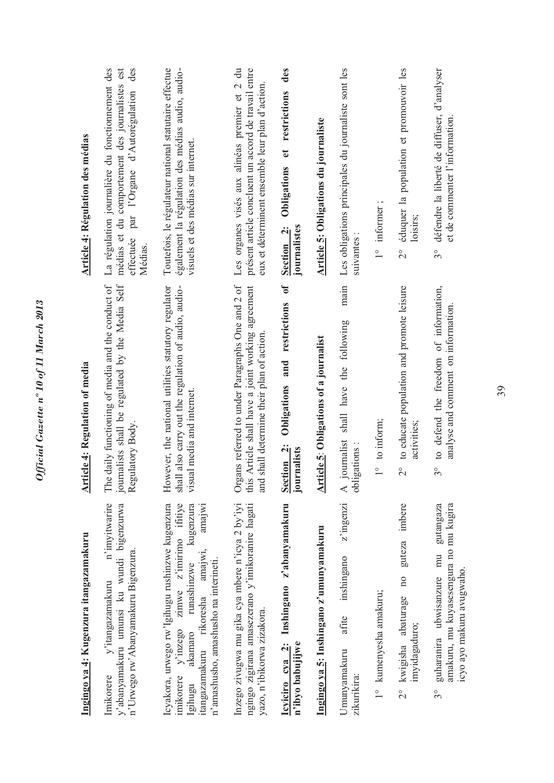| <b>Article 4: Régulation des médias</b><br><b>Article 4: Regulation of media</b> | La régulation journalière du fonctionnement des<br>est<br>des<br>médias et du comportement des journalistes<br>effectuée par l'Organe d'Autorégulation<br>Médias.<br>The daily functioning of media and the conduct of<br>journalists shall be regulated by the Media Self<br>Regulatory Body. | Toutefois, le régulateur national statutaire effectue<br>également la régulation des médias audio, audio-<br>visuels et des médias sur internet.<br>However, the national utilities statutory regulator<br>shall also carry out the regulation of audio, audio-<br>visual media and internet.<br>kugenzura<br>amajwi | Les organes visés aux alinéas premier et 2 du<br>présent article concluent un accord de travail entre<br>eux et déterminent ensemble leur plan d'action.<br>Organs referred to under Paragraphs One and 2 of this Article shall have a ioint working agreement<br>Article shall have a joint working agreement<br>shall determine their plan of action.<br>and | des<br>et restrictions<br>Obligations<br>Section <sub>2</sub> :<br>journalistes<br>$\sigma$<br>Obligations and restrictions<br>Section <sub>2</sub> :<br>journalists | <b>Article 5: Obligations du journaliste</b><br>Article 5: Obligations of a journalist | Les obligations principales du journaliste sont les<br>suivantes:<br>main<br>following<br>shall have the<br>journalist<br>gations:<br>obli<br>$\blacktriangleleft$<br>z'ingenzi | informer;<br>$\frac{1}{1}$<br>to inform;<br>$\frac{1}{1}$ | éduquer la population et promouvoir les<br>loisirs;<br>$\overline{2}^{\circ}$<br>to educate population and promote leisure<br>activities;<br>$\overline{C}$<br>imbere | défendre la liberté de diffuser, d'analyser<br>$3^{\circ}$<br>to defend the freedom of information,<br>$3^{\circ}$<br>gutangaza |
|----------------------------------------------------------------------------------|------------------------------------------------------------------------------------------------------------------------------------------------------------------------------------------------------------------------------------------------------------------------------------------------|----------------------------------------------------------------------------------------------------------------------------------------------------------------------------------------------------------------------------------------------------------------------------------------------------------------------|----------------------------------------------------------------------------------------------------------------------------------------------------------------------------------------------------------------------------------------------------------------------------------------------------------------------------------------------------------------|----------------------------------------------------------------------------------------------------------------------------------------------------------------------|----------------------------------------------------------------------------------------|---------------------------------------------------------------------------------------------------------------------------------------------------------------------------------|-----------------------------------------------------------|-----------------------------------------------------------------------------------------------------------------------------------------------------------------------|---------------------------------------------------------------------------------------------------------------------------------|
| Ingingo ya 4: Kugenzura itangazamakuru                                           | n'imvitwarire<br>y'abanyamakuru umunsi ku wundi bigenzurwa<br>n'Urwego rw'Abanyamakuru Bigenzura.<br>y'itangazamakuru<br>Imikorere                                                                                                                                                             | Icyakora, urwego rw'Igihugu rushinzwe kugenzura<br>$y'$ inzego zimwe z'imirimo ifitiye<br>itangazamakuru rikoresha amajwi,<br>n'amashusho, amashusho na interineti.<br>runashinzwe<br>akamaro<br>imikorere<br>Igihugu                                                                                                | Inzego zivugwa mu gika cya mbere n'icya 2 by'iyi<br>ngingo zigirana amasezerano y'imikoranire hagati<br>yazo, n'ibikorwa zizakora.                                                                                                                                                                                                                             | Icyiciro cya 2: Inshingano z'abanyamakuru<br>n'ibyo babujijwe                                                                                                        | Ingingo ya 5: Inshingano z'umunyamakuru                                                | inshingano<br>afite<br>Umunyamakuru<br>zikurikira:                                                                                                                              | 1° kumenyesha amakuru;                                    | guteza<br>$\overline{a}$<br>2° kwigisha abaturage<br>imyidagaduro;                                                                                                    | amakuru, mu kuyasesengura no mu kugira<br>mu<br>guharanira ubwisanzure<br>$3^{\circ}$                                           |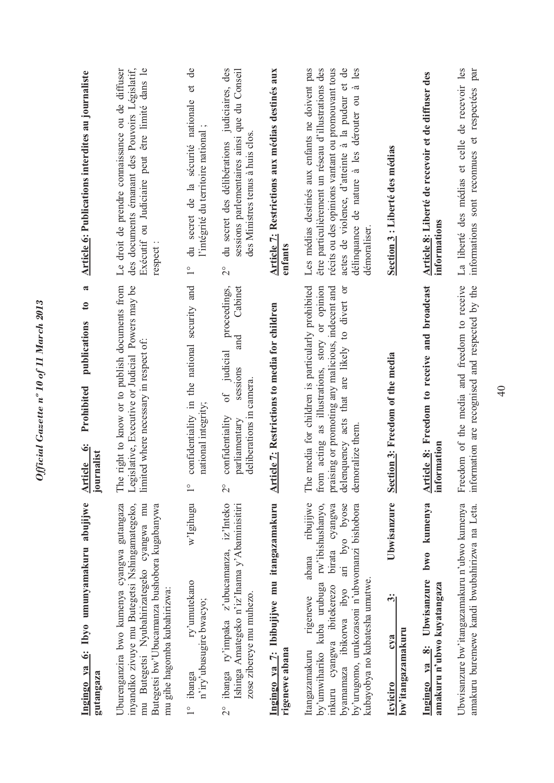| Ingingo ya 6: Ibyo umunyamakuru abujijwe<br>Uburenganzira bwo kumenya cyangwa gutangaza<br>gutangaza                                                                                                                                                                           | $\boldsymbol{\mathfrak{a}}$<br>The right to know or to publish documents from<br>$\mathbf{c}$<br>publications<br>Prohibited<br>Article 6:<br>rnalist<br>ioi                                                                   | Le droit de prendre connaissance ou de diffuser<br><b>Article 6: Publications interdites au journaliste</b>                                                                                                                                                                    |
|--------------------------------------------------------------------------------------------------------------------------------------------------------------------------------------------------------------------------------------------------------------------------------|-------------------------------------------------------------------------------------------------------------------------------------------------------------------------------------------------------------------------------|--------------------------------------------------------------------------------------------------------------------------------------------------------------------------------------------------------------------------------------------------------------------------------|
| mu Butegetsi Nyubahirizategeko cyangwa mu<br>inyandiko zivuye mu Butegetsi Nshingamategeko,<br>Butegetsi bw'Ubucamanza bushobora kugabanywa<br>mu gihe hagomba kubahirizwa:                                                                                                    | Legislative, Executive or Judicial Powers may be<br>limited where necessary in respect of:                                                                                                                                    | des documents émanant des Pouvoirs Législatif,<br>Exécutif ou Judiciaire peut être limité dans le<br>respect:                                                                                                                                                                  |
| w'Igihugu<br>ry'umutekano<br>n'iry'ubusugire bwacyo;                                                                                                                                                                                                                           | confidentiality in the national security and<br>national integrity;<br>$\frac{1}{\sqrt{2}}$                                                                                                                                   | $\mathsf{de}$<br>$\sigma$<br>du secret de la sécurité nationale<br>l'intégrité du territoire national;<br>$\overset{\circ}{\phantom{0}}$                                                                                                                                       |
| ibanga ry'impaka z'ubucamanza, iz'Inteko<br>Ishinga Amategeko n'iz'Inama y'Abaminisitiri<br>zose zibereye mu muhezo.                                                                                                                                                           | Cabinet<br>proceedings,<br>and<br>of judicial<br>sessions<br>camera.<br>deliberations in<br>confidentiality<br>parliamentary<br>$\overset{\circ}{\sim}$                                                                       | judiciaires, des<br>sessions parlementaires ainsi que du Conseil<br>des Ministres tenus à huis clos<br>du secret des délibérations<br>$\overset{\circ}{\sim}$                                                                                                                  |
| Ingingo ya 7: Ibibujijwe mu itangazamakuru<br>rigenewe abana                                                                                                                                                                                                                   | Article 7: Restrictions to media for children                                                                                                                                                                                 | Article 7: Restrictions aux médias destinés aux<br>enfants                                                                                                                                                                                                                     |
| ribujijwe<br>by'umwihariko kuba urubuga rw'ibishushanyo,<br>ari byo byose<br>birata cyangwa<br>by'urugomo, urukozasoni n'ubwomanzi bishobora<br>abana<br>kubayobya no kubatesha umutwe.<br>inkuru cyangwa ibitekerezo<br>byamamaza ibikorwa ibyo<br>rigenewe<br>Itangazamakuru | The media for children is particularly prohibited<br>praising or promoting any malicious, indecent and<br>from acting as illustrations, story or opinion<br>delenquency acts that are likely to divert or<br>demoralize them. | Les médias destinés aux enfants ne doivent pas<br>actes de violence, d'atteinte à la pudeur et de<br>être particulièrement un réseau d'illustrations des<br>récits ou des opinions vantant ou promouvant tous<br>délinquance de nature à les dérouter ou à les<br>démoraliser. |
| Ubwisanzure<br>$\ddot{\dot{\bf{c}}}$<br>bw'itangazamakuru<br>cya                                                                                                                                                                                                               | Section 3: Freedom of the media                                                                                                                                                                                               | Section 3 : Liberté des médias                                                                                                                                                                                                                                                 |
| bwo kumenya<br>Ingingo ya 8: Ubwisanzure<br>amakuru n'ubwo kuyatangaza                                                                                                                                                                                                         | Article 8: Freedom to receive and broadcast<br>information                                                                                                                                                                    | Article 8: Liberté de recevoir et de diffuser des<br>informations                                                                                                                                                                                                              |
| Ubwisanzure bw'itangazamakuru n'ubwo kumenya<br>amakuru buremewe kandi bwubahirizwa na Leta.                                                                                                                                                                                   | Freedom of the media and freedom to receive<br>information are recognised and respected by the                                                                                                                                | La liberté des médias et celle de recevoir les<br>informations sont reconnues et respectées par                                                                                                                                                                                |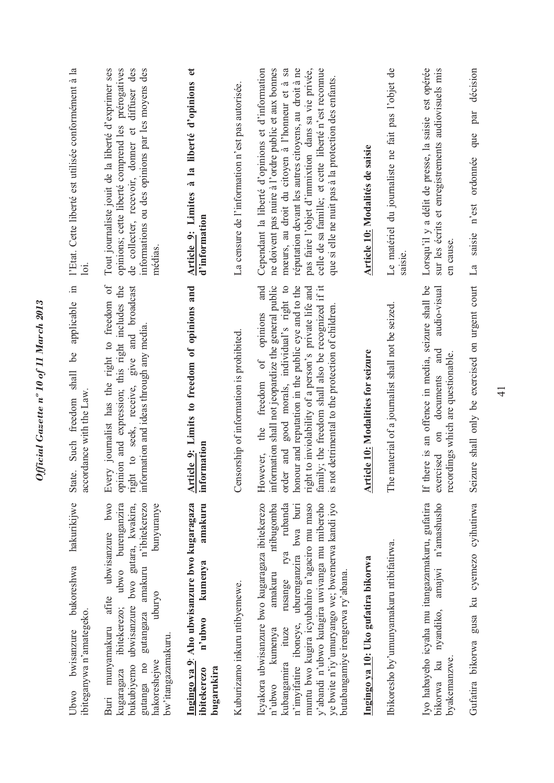| l'Etat. Cette liberté est utilisée conformément à la<br>$\Xi$                            | de collecter, recevoir, donner et diffuser des<br>Tout journaliste jouit de la liberté d'exprimer ses<br>opinions; cette liberté comprend les prérogatives<br>informations ou des opinions par les moyens des<br>médias                                          | Article 9: Limites à la liberté d'opinions et<br>d'information                                            | La censure de l'information n'est pas autorisée. | mœurs, au droit du citoyen à l'honneur et à sa<br>pas faire l'objet d'immixtion dans sa vie privée,<br>celle de sa famille; et cette liberté n'est reconnue<br>Cependant la liberté d'opinions et d'information<br>réputation devant les autres citoyens, au droit à ne<br>me doivent pas nuire à l'ordre public et aux bonnes<br>que si elle ne nuit pas à la protection des enfants.<br>and     | Article 10: Modalités de saisie           | Le matériel du journaliste ne fait pas l'objet de<br>saisie | Lorsqu'il y a délit de presse, la saisie est opérée<br>sur les écrits et enregistrements audiovisuels mis<br>en cause.                                                 | décision<br>par<br>que<br>ordonnée<br>n'est<br>saisie<br>$\mathbb{L}\mathfrak{a}$ |
|------------------------------------------------------------------------------------------|------------------------------------------------------------------------------------------------------------------------------------------------------------------------------------------------------------------------------------------------------------------|-----------------------------------------------------------------------------------------------------------|--------------------------------------------------|---------------------------------------------------------------------------------------------------------------------------------------------------------------------------------------------------------------------------------------------------------------------------------------------------------------------------------------------------------------------------------------------------|-------------------------------------------|-------------------------------------------------------------|------------------------------------------------------------------------------------------------------------------------------------------------------------------------|-----------------------------------------------------------------------------------|
| applicable<br>6 <sup>o</sup><br>Such freedom shall<br>accordance with the Law.<br>State. | Every journalist has the right to freedom of<br>opinion and expression; this right includes the<br>right to seek, receive, give and broadcast<br>information and ideas through any media.                                                                        | Article 9: Limits to freedom of opinions and<br>information                                               | Censorship of information is prohibited.         | information shall not jeopardize the general public<br>good morals, individual's right to<br>family; the freedom shall also be recognized if it<br>honour and reputation in the public eye and to the<br>right to inviolability of a person's private life and<br>is not detrimental to the protection of children<br>opinions<br>of<br>freedom<br>the<br>order and<br>However,                   | <b>Article 10: Modalities for seizure</b> | material of a journalist shall not be seized.<br>The        | an offence in media, seizure shall be<br>audio-visual<br>and<br>recordings which are questionable.<br>documents<br>$\overline{\mathrm{m}}$<br>If there is<br>exercised | Seizure shall only be exercised on urgent court                                   |
| hakurikijwe<br>bukoreshwa<br>ibiteganywa n'amategeko.<br>bwisanzure<br>Ubwo              | ubwisanzure bwo<br>ubwo burenganzira<br>bukubiyemo ubwisanzure bwo gutara, kwakira,<br>gutangaza amakuru n'ibitekerezo<br>bunyuranye<br>uburyo<br>afite<br>ibitekerezo;<br>munyamakuru<br>bw'itangazamakuru.<br>hakoreshejwe<br>gutanga no<br>kugaragaza<br>Buri | Ingingo ya 9: Aho ubwisanzure bwo kugaragaza<br>amakuru<br>kumenya<br>n'ubwo<br>bugarukira<br>ibitekerezo | Kuburizamo inkuru ntibyemewe.                    | Icyakora ubwisanzure bwo kugaragaza ibitekerezo<br>ntibugomba<br>rubanda<br>bwa buri<br>y'abandi n'ubwo kutagira uwivanga mu mibereho<br>ye bwite n'iy'umuryango we; bwemerwa kandi iyo<br>muntu bwo kugira icyubahiro n'agaciro mu maso<br>iboneye, uburenganzira<br>rya<br>butabangamiye irengerwa ry'abana.<br>amakuru<br>rusange<br>ituze<br>kumenya<br>kubangamira<br>n'imvifatire<br>n'ubwo | Ingingo ya 10: Uko gufatira bikorwa       | Ibikoresho by'umunyamakuru ntibifatirwa.                    | Iyo habayeho icyaha mu itangazamakuru, gufatira<br>n'amashusho<br>amajwi<br>nyandiko,<br>byakemanzwe.<br>$\mathbb{R}$<br>bikorwa                                       | gusa ku cyemezo cyihutirwa<br>Gufatira bikorwa                                    |

## Official Gazette nº 10 of 11 March 2013 *Official Gazette nº 10 of 11 March 2013*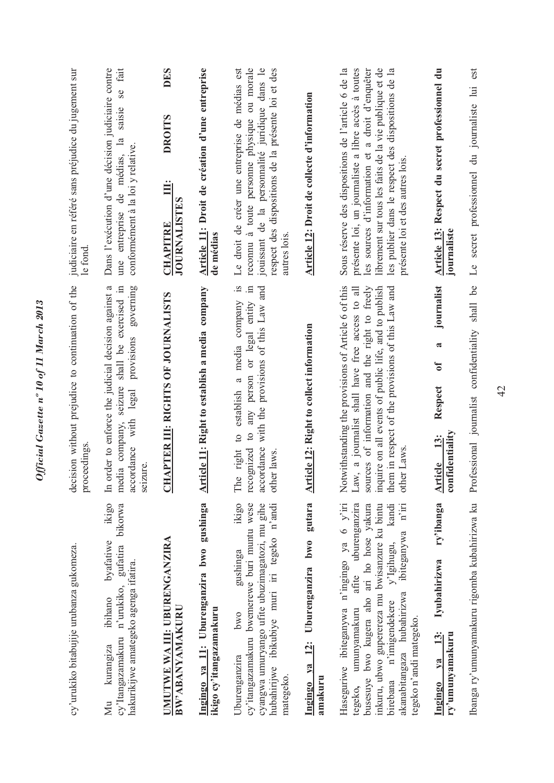| cy'urukiko bitabujije urubanza gukomeza.                                                                                                                                                                                                                                                                                            | decision without prejudice to continuation of the<br>proceedings.                                                                                                                                                                                                                   | judiciaire en référé sans préjudice du jugement sur<br>le fond                                                                                                                                                                                                                                                  |
|-------------------------------------------------------------------------------------------------------------------------------------------------------------------------------------------------------------------------------------------------------------------------------------------------------------------------------------|-------------------------------------------------------------------------------------------------------------------------------------------------------------------------------------------------------------------------------------------------------------------------------------|-----------------------------------------------------------------------------------------------------------------------------------------------------------------------------------------------------------------------------------------------------------------------------------------------------------------|
| ikigo<br>bikorwa<br>byafatiwe<br>gufatira<br>hakurikijwe amategeko agenga ifatira.<br>cy'Itangazamakuru n'urukiko,<br>ibihano<br>kurangiza<br>Мu                                                                                                                                                                                    | In order to enforce the judicial decision against a<br>media company, seizure shall be exercised in<br>governing<br>with legal provisions<br>accordance<br>seizure                                                                                                                  | Dans l'exécution d'une décision judiciaire contre<br>fait<br><b>SC</b><br>saisie<br>une entreprise de médias, la<br>conformément à la loi y relative.                                                                                                                                                           |
| UMUTWE WA III: UBURENGANZIRA<br>BW'ABANYAMAKURU                                                                                                                                                                                                                                                                                     | APTER III: RIGHTS OF JOURNALISTS<br>FO                                                                                                                                                                                                                                              | <b>DES</b><br><b>DROITS</b><br>$\ddot{\Xi}$<br><b>JOURNALISTES</b><br><b>CHAPITRE</b>                                                                                                                                                                                                                           |
| Ingingo ya 11: Uburenganzira bwo gushinga<br>ikigo cy'itangazamakuru                                                                                                                                                                                                                                                                | <b>Article 11: Right to establish a media company</b>                                                                                                                                                                                                                               | Article 11: Droit de création d'une entreprise<br>de médias                                                                                                                                                                                                                                                     |
| ikigo<br>cy'itangazamakuru bwemerewe buri muntu wese<br>cyangwa umuryango ufite ubuzimagatozi, mu gihe<br>hubahirijwe ibikubiye muri iri tegeko n'andi<br>gushinga<br>pwo<br>Uburenganzira<br>mategeko                                                                                                                              | $\mathbf{S}$ .<br>with the provisions of this Law and<br>any person or legal entity in<br>establish a media company<br>$\overline{c}$<br>$\circ$<br>accordance<br>pezing<br>right<br>other laws<br>The<br>reco                                                                      | Le droit de créer une entreprise de médias est<br>reconnu à toute personne physique ou morale<br>jouissant de la personnalité juridique dans le<br>respect des dispositions de la présente loi et des<br>autres lois                                                                                            |
| Ingingo ya 12: Uburenganzira bwo gutara<br>amakuru                                                                                                                                                                                                                                                                                  | Article 12: Right to collect information                                                                                                                                                                                                                                            | Article 12: Droit de collecte d'information                                                                                                                                                                                                                                                                     |
| Haseguriwe ibiteganywa n'ingingo ya 6 y'iri<br>afite uburenganzira<br>busesuye bwo kugera aho ari ho hose yakura<br>inkuru, ubwo guperereza mu bwisanzure ku bintu<br>kandi<br>$n'$ iri<br>ibiteganywa<br>y'Igihugu,<br>akanabitangaza hubahirizwa<br>birebana n'imigendekere<br>umunyamakuru<br>tegeko n'andi mategeko.<br>tegeko, | Notwithstanding the provisions of Article 6 of this<br>them in respect of the provisions of this Law and<br>sources of information and the right to freely<br>inquire on all events of public life, and to publish<br>Law, a journalist shall have free access to all<br>other Laws | Sous réserve des dispositions de l'article 6 de la<br>présente loi, un journaliste a libre accès à toutes<br>les sources d'information et a droit d'enquêter<br>librement sur tous les faits de la vie publique et de<br>les publier dans le respect des dispositions de la<br>présente loi et des autres lois. |
| ry'ibanga<br>Iyubahirizwa<br>13:<br>ry'umunyamakuru<br>ya<br>Ingingo                                                                                                                                                                                                                                                                | journalist<br>$\overline{\mathbf{c}}$<br>$\mathfrak{b}$<br>Respect<br>confidentiality<br>13:<br><b>Article</b>                                                                                                                                                                      | Article 13: Respect du secret professionnel du<br>journaliste                                                                                                                                                                                                                                                   |
| Ibanga ry'umunyamakuru rigomba kubahirizwa ku                                                                                                                                                                                                                                                                                       | shall be<br>Professional journalist confidentiality                                                                                                                                                                                                                                 | est<br>Le secret professionnel du journaliste lui                                                                                                                                                                                                                                                               |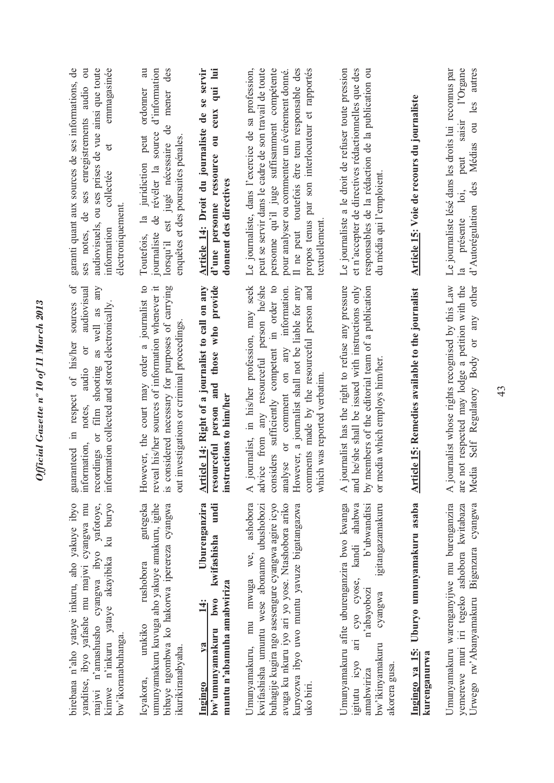| garanti quant aux sources de ses informations, de<br>emmagasinée<br>$\overline{\mathrm{d}}$<br>audiovisuels, ou ses prises de vue ainsi que toute<br>ses notes, de ses enregistrements audio<br>$\sigma$<br>collectée<br>électroniquement<br>information<br>ð<br>audiovisual<br>sources | au<br>des<br>d'information<br>ordonner<br>mener<br>$\mathbf{d}\mathbf{e}$<br>révéler la source<br>peut<br>enquêtes et des poursuites pénales<br>lorsqu'il est jugé nécessaire<br>juridiction<br>g<br>$\frac{a}{a}$<br>journaliste<br>Toutefois, | qui lui<br>Article 14: Droit du journaliste de se servir<br>ceux<br>d'une personne ressource ou<br>donnent des directives  | Le journaliste, dans l'exercice de sa profession,<br>Il ne peut toutefois être tenu responsable des<br>peut se servir dans le cadre de son travail de toute<br>personne qu'il juge suffisamment compétente<br>propos tenus par son interlocuteur et rapportés<br>pour analyser ou commenter un événement donné.<br>textuellement | Le journaliste a le droit de refuser toute pression<br>et n'accepter de directives rédactionnelles que des<br>responsables de la rédaction de la publication ou<br>du média qui l'emploient.                     | Article 15: Voie de recours du journaliste                         | d'Autorégulation des Médias ou les autres<br>Le journaliste lésé dans les droits lui reconnus par<br>l'Organe<br>saisir<br>peut<br>$\overline{a}$<br>présente<br>$\mathbf{a}$ |
|-----------------------------------------------------------------------------------------------------------------------------------------------------------------------------------------------------------------------------------------------------------------------------------------|-------------------------------------------------------------------------------------------------------------------------------------------------------------------------------------------------------------------------------------------------|----------------------------------------------------------------------------------------------------------------------------|----------------------------------------------------------------------------------------------------------------------------------------------------------------------------------------------------------------------------------------------------------------------------------------------------------------------------------|------------------------------------------------------------------------------------------------------------------------------------------------------------------------------------------------------------------|--------------------------------------------------------------------|-------------------------------------------------------------------------------------------------------------------------------------------------------------------------------|
| recordings or film shooting as well as any<br>information collected and stored electronically<br>in respect of his/her<br>$\sigma$<br>audio<br>notes,<br>information,<br>guaranteed                                                                                                     | However, the court may order a journalist to<br>reveal his/her sources of information whenever it<br>is considered necessary for purposes of carrying<br>out investigations or criminal proceedings.                                            | those who provide<br>Article 14: Right of a journalist to call on any<br>resourceful person and<br>instructions to him/her | advice from any resourceful person he/she<br>journalist, in his/her profession, may seek<br>considers sufficiently competent in order to<br>or comment on any information.<br>However, a journalist shall not be liable for any<br>comments made by the resourceful person and<br>which was reported verbatim<br>analyse<br>∢    | journalist has the right to refuse any pressure<br>and he/she shall be issued with instructions only<br>by members of the editorial team of a publication<br>or media which employs him/her.<br>$\overline{A}$ j | ticle 15: Remedies available to the journalist<br>$\sum_{i=1}^{n}$ | ournalist whose rights recognised by this Law<br>not respected may lodge a petition with the<br>Media Self Regulatory Body or any other<br>$\overline{A}$ j<br>are            |
| kimwe n'inkuru yataye akayibika ku buryo<br>birebana n'aho yataye inkuru, aho yakuye ibyo<br>yanditse, ibyo yafashe mu majwi cyangwa mu<br>majwi n'amashusho cyangwa ibyo yafotoye,<br>bw'ikoranabuhanga.                                                                               | gutegeka<br>umunyamakuru kuvuga aho yakuye amakuru, igihe<br>bibaye ngombwa ko hakorwa iperereza cyangwa<br>rushobora<br>urukiko<br>ikurikiranabyaha.<br>Icyakora,                                                                              | Uburenganzira<br>undi<br>kwifashisha<br>muntu n'abamuha amabwiriza<br>bw'umunyamakuru bwo<br>$14$ :<br>$1$<br>Ingingo      | ashobora<br>buhagije kugira ngo asesengure cyangwa agire icyo<br>avuga ku nkuru iyo ari yo yose. Ntashobora ariko<br>kwifashisha umuntu wese abonamo ubushobozi<br>kuryozwa ibyo uwo muntu yavuze bigatangazwa<br>Umunyamakuru, mu mwuga we,<br>uko biri.                                                                        | Umunyamakuru afite uburenganzira bwo kwanga<br>igitangazamakuru<br>ari cyo cyose, kandi ahabwa<br>b'ubwanditsi<br>n'abayobozi<br>cyangwa<br>bw'ikinyamakuru<br>igitutu icyo<br>akorera gusa.<br>amabwiriza       | Ingingo ya 15: Uburyo umunyamakuru asaba<br>kurenganurwa           | Umunyamakuru warenganyijwe mu burenganzira<br>Urwego rw'Abanyamakuru Bigenzura cyangwa<br>yemerewe muri iri tegeko ashobora kwitabaza                                         |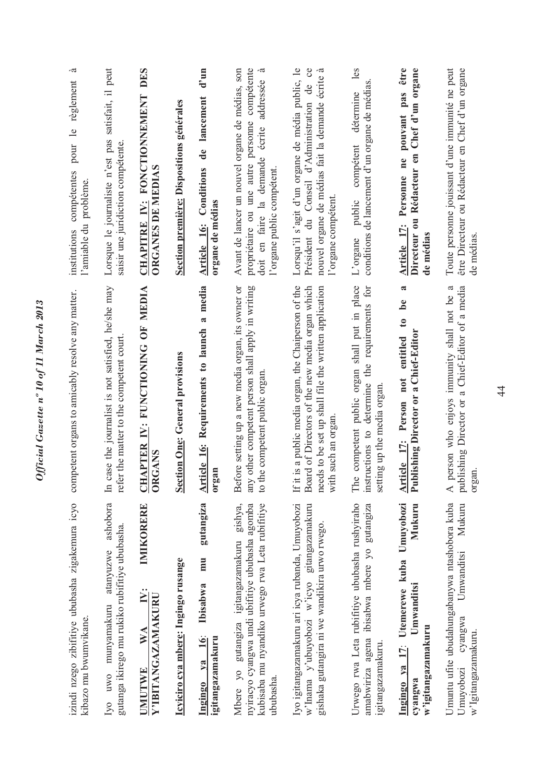| pour le règlement<br>compétentes<br>l'amiable du problème<br>institutions<br>competent organs to amicably resolve any matter. | Lorsque le journaliste n'est pas satisfait, il peut<br>saisir une juridiction compétente.<br>case the journalist is not satisfied, he/she may<br>refer the matter to the competent court | <b>DES</b><br><b>FONCTIONNEMENT</b><br>ORGANES DE MEDIAS<br>$\mathbf{N}$ :<br><b>CHAPITRE</b><br>APTER IV: FUNCTIONING OF MEDIA | Section première: Dispositions générales<br><b>Section One: General provisions</b> | $d'$ un<br>lancement<br>de<br>Article 16: Conditions<br>organe de médias<br>media<br>$\tilde{\phantom{a}}$<br><b>Article 16: Requirements to launch</b> | Avant de lancer un nouvel organe de médias, son<br>compétente<br>addressée<br>propriétaire ou une autre personne<br>écrite<br>doit en faire la demande<br>l'organe public compétent.<br>Before setting up a new media organ, its owner or<br>any other competent person shall apply in writing<br>the competent public organ. | Lorsqu'il s'agit d'un organe de média public, le<br>de ce<br>nouvel organe de médias fait la demande écrite<br>Président du Conseil d'Administration<br>l'organe compétent<br>If it is a public media organ, the Chaiperson of the<br>Board of Directors of the new media organ which<br>needs to be set up shall file the written application | les<br>conditions de lancement d'un organe de médias.<br>détermine<br>compétent<br>public<br>L'organe<br>The competent public organ shall put in place<br>instructions to determine the requirements for<br>setting up the media organ | pouvant pas être<br>Chef d'un organe<br>ou Rédacteur en<br>Article 17: Personne ne<br><b>Directeur</b><br>de médias<br>$\mathbf{a}$<br>be<br>$\mathbf{c}$<br>Publishing Director or a Chief-Editor<br>entitled<br>not<br>Person | Toute personne jouissant d'une immunité ne peut<br>être Directeur ou Rédacteur en Chef d'un organe<br>a<br>a Chief-Editor of a media<br>person who enjoys immunity shall not be |
|-------------------------------------------------------------------------------------------------------------------------------|------------------------------------------------------------------------------------------------------------------------------------------------------------------------------------------|---------------------------------------------------------------------------------------------------------------------------------|------------------------------------------------------------------------------------|---------------------------------------------------------------------------------------------------------------------------------------------------------|-------------------------------------------------------------------------------------------------------------------------------------------------------------------------------------------------------------------------------------------------------------------------------------------------------------------------------|------------------------------------------------------------------------------------------------------------------------------------------------------------------------------------------------------------------------------------------------------------------------------------------------------------------------------------------------|----------------------------------------------------------------------------------------------------------------------------------------------------------------------------------------------------------------------------------------|---------------------------------------------------------------------------------------------------------------------------------------------------------------------------------------------------------------------------------|---------------------------------------------------------------------------------------------------------------------------------------------------------------------------------|
|                                                                                                                               | $\mathbb{H}$                                                                                                                                                                             | <b>ORGANS</b><br>리                                                                                                              |                                                                                    | organ                                                                                                                                                   | $\frac{1}{2}$                                                                                                                                                                                                                                                                                                                 | with such an organ                                                                                                                                                                                                                                                                                                                             |                                                                                                                                                                                                                                        | Article 17:                                                                                                                                                                                                                     | publishing Director or<br>$\prec$                                                                                                                                               |
| izindi nzego zibifitiye ububasha zigakemura icyo<br>kibazo mu bwumvikane.                                                     | ashobora<br>gutanga ikirego mu rukiko rubifitiye ububasha.<br>atanyuzwe<br>munyamakuru<br>Iyo uwo                                                                                        | IMIKORERE<br>i.<br>Y'IBITANGAZAMAKURU<br>$\geqslant$<br>UMUTWE                                                                  | Icyiciro cya mbere: Ingingo rusange                                                | gutangiza<br>mu<br>Ibisabwa<br>Ingingo ya 16:<br>igitangazamakuru                                                                                       | gishya,<br>nyiracyo cyangwa undi ubifitiye ububasha agomba<br>kubisaba mu nyandiko urwego rwa Leta rubifitiye<br>Mbere yo gutangiza igitangazamakuru<br>ububasha.                                                                                                                                                             | w'lnama y'ubuyobozi w'icyo gitangazamakuru<br>Iyo igitangazamakuru ari icya rubanda, Umuyobozi<br>gishaka gutangira ni we wandikira urwo rwego.                                                                                                                                                                                                | Urwego rwa Leta rubifitiye ububasha rushyiraho<br>gutangiza<br>amabwiriza agena ibisabwa mbere yo<br>igitangazamakuru                                                                                                                  | Umuyobozi<br>Mukuru<br>17: Utemerewe kuba<br>Umwanditsi<br>w'igitangazamakuru<br>Ingingo ya<br>cyangwa                                                                                                                          | Umuntu ufite ubudahungabanywa ntashobora kuba<br>Mukuru<br>Umwanditsi<br>cyangwa<br>Umuyobozi                                                                                   |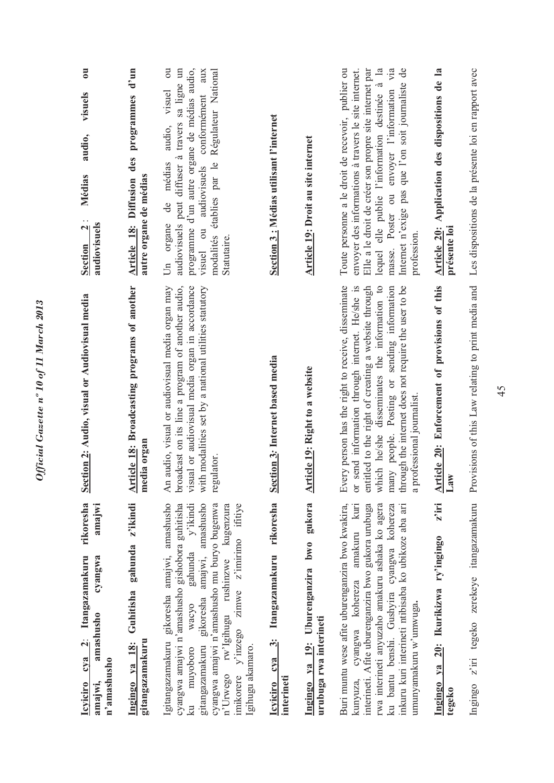| $\overline{\mathbf{c}}$<br>visuels<br>audio,<br>Médias<br>audiovisuels<br>$\mathbf{r}$<br><b>Section</b>          | Article 18: Diffusion des programmes d'un<br>autre organe de médias | $\overline{\mathrm{d}}$<br>programme d'un autre organe de médias audio,<br>audiovisuels peut diffuser à travers sa ligne un<br>Régulateur National<br>aux<br>conformément<br>visuel<br>audio,<br>établies par le<br>médias<br>audiovisuels<br>de<br>Un organe<br>visuel ou<br>modalités<br>Statutaire.                                                                                 | Section 3 : Médias utilisant l'internet                                     | Article 19: Droit au site internet                                | lequel elle publie l'information destinée à la<br>masse. Poster ou envoyer l'information via<br>Internet n'exige pas que l'on soit journaliste de<br>Toute personne a le droit de recevoir, publier ou<br>Elle a le droit de créer son propre site internet par<br>envoyer des informations à travers le site internet.<br>profession.                     | Article 20: Application des dispositions de la<br>présente loi | Les dispositions de la présente loi en rapport avec |
|-------------------------------------------------------------------------------------------------------------------|---------------------------------------------------------------------|----------------------------------------------------------------------------------------------------------------------------------------------------------------------------------------------------------------------------------------------------------------------------------------------------------------------------------------------------------------------------------------|-----------------------------------------------------------------------------|-------------------------------------------------------------------|------------------------------------------------------------------------------------------------------------------------------------------------------------------------------------------------------------------------------------------------------------------------------------------------------------------------------------------------------------|----------------------------------------------------------------|-----------------------------------------------------|
| Section 2: Audio, visual or Audiovisual media                                                                     | Article 18: Broadcasting programs of another<br>dia organ<br>me     | broadcast on its line a program of another audio,<br>audio, visual or audiovisual media organ may<br>visual or audiovisual media organ in accordance<br>with modalities set by a national utilities statutory<br>regulator.<br>$\overline{A}$ n                                                                                                                                        | Section 3: Internet based media                                             | <b>Article 19:</b> Right to a website                             | Every person has the right to receive, disseminate<br>send information through internet. He/she is<br>which he/she disseminates the information to<br>entitled to the right of creating a website through<br>many people. Posting or sending information<br>through the internet does not require the user to be<br>a professional journalist.<br>$\sigma$ | Article 20: Enforcement of provisions of this<br>Law           | Provisions of this Law relating to print media and  |
| rikoresha<br>amajwi<br>cya 2: Itangazamakuru<br>cyangwa<br>amashusho<br>n'amashusho<br>amajwi,<br><b>Icyiciro</b> | Ingingo ya 18: Guhitisha gahunda z'ikindi<br>gitangazamakuru        | Igitangazamakuru gikoresha amajwi, amashusho<br>cyangwa amajwi n'amashusho gishobora guhitisha<br>amajwi, amashusho<br>cyangwa amajwi n'amashusho mu buryo bugenwa<br>imikorere y'inzego zimwe z'imirimo ifitiye<br>gahunda y'ikindi<br>kugenzura<br>n'Urwego rw'Igihugu rushinzwe<br>gikoresha<br>wacyo<br>gitangazamakuru<br>Igihugu akamaro.<br>muyoboro<br>$\overline{\mathbf{a}}$ | rikoresha<br>Itangazamakuru<br>$\ddot{\cdot}$<br>Icyiciro cya<br>interineti | Ingingo ya 19: Uburenganzira bwo gukora<br>urubuga rwa interineti | Buri muntu wese afite uburenganzira bwo kwakira,<br>rwa interineti anyuzaho amakuru ashaka ko agera<br>kuri<br>interineti. Afite uburenganzira bwo gukora urubuga<br>ku bantu benshi. Gushyira cyangwa kohereza<br>inkuru kuri interineti ntibisaba ko ubikoze aba ari<br>amakuru<br>kunyuza, cyangwa kohereza<br>umunyamakuru w'umwuga.                   | $z$ iri<br>20: Ikurikizwa ry'ingingo<br>Ingingo ya<br>tegeko   | z'iri tegeko zerekeye itangazamakuru<br>Ingingo     |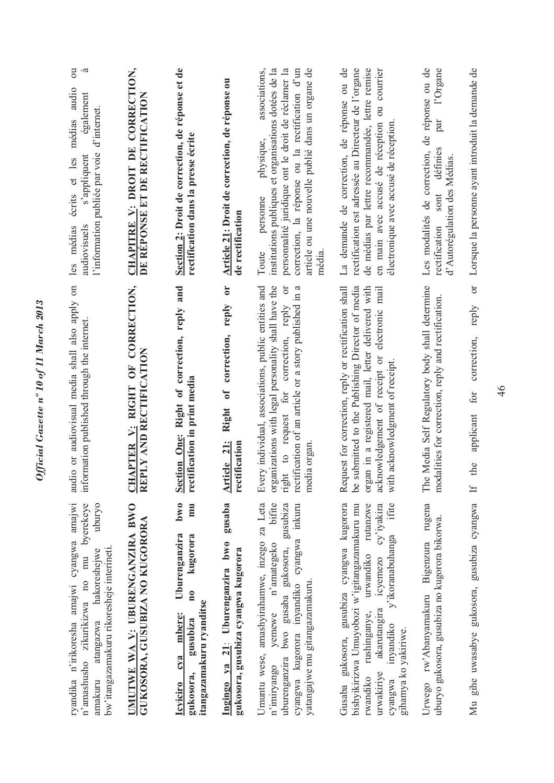| $\overline{\mathrm{c}}$<br>médias audio<br>également<br>d'internet.<br>l'information publiée par voie<br>s'appliquent<br>écrits et les<br>audiovisuels<br>les médias<br>audio or audiovisual media shall also apply on | CHAPITRE V: DROIT DE CORRECTION,<br>DE RÉPONSE ET DE RECTIFICATION<br>APTER V: RIGHT OF CORRECTION, | Section 2: Droit de correction, de réponse et de<br>rectification dans la presse écrite<br>and                                                                         | Article 21: Droit de correction, de réponse ou<br>de rectification<br>$\mathbf{C}$<br>reply<br>correction, | article ou une nouvelle publié dans un organe de<br>associations,<br>institutions publiques et organisations dotées de la<br>personnalité juridique ont le droit de réclamer la<br>correction, la réponse ou la rectification d'un<br>physique,<br>personne<br>Toute<br>média<br>Every individual, associations, public entities and<br>organizations with legal personality shall have the<br>right to request for correction, reply or<br>rectification of an article or a story published in a | La demande de correction, de réponse ou de<br>rectification est adressée au Directeur de l'organe<br>de médias par lettre recommandée, lettre remise<br>en main avec accusé de réception ou courrier<br>électronique avec accusé de réception<br>Request for correction, reply or rectification shall<br>be submitted to the Publishing Director of media<br>organ in a registered mail, letter delivered with<br>electronic mail | de réponse ou de<br>l'Organe<br>par<br>définies<br>Les modalités de correction,<br>d'Autorégulation des Médias.<br>sont<br>rectification<br>The Media Self Regulatory body shall determine<br>modalities for correction, reply and rectification. |
|------------------------------------------------------------------------------------------------------------------------------------------------------------------------------------------------------------------------|-----------------------------------------------------------------------------------------------------|------------------------------------------------------------------------------------------------------------------------------------------------------------------------|------------------------------------------------------------------------------------------------------------|---------------------------------------------------------------------------------------------------------------------------------------------------------------------------------------------------------------------------------------------------------------------------------------------------------------------------------------------------------------------------------------------------------------------------------------------------------------------------------------------------|-----------------------------------------------------------------------------------------------------------------------------------------------------------------------------------------------------------------------------------------------------------------------------------------------------------------------------------------------------------------------------------------------------------------------------------|---------------------------------------------------------------------------------------------------------------------------------------------------------------------------------------------------------------------------------------------------|
| information published through the internet.                                                                                                                                                                            | PLY AND RECTIFICATION<br>UH<br>RE                                                                   | Section One: Right of correction, reply<br>rectification in print media                                                                                                | $\overline{\mathbf{f}}$<br>Right<br>Article 21:<br>rectification                                           | media organ                                                                                                                                                                                                                                                                                                                                                                                                                                                                                       | acknowledgement of receipt or<br>with acknowledgment of receipt.                                                                                                                                                                                                                                                                                                                                                                  |                                                                                                                                                                                                                                                   |
| ryandika n'irikoresha amajwi cyangwa amajwi<br>n'amashusho zikurikizwa no mu byerekeye<br>uburyo<br>bw'itangazamakuru rikoresheje interineti.<br>atangazwa hakoresheiwe<br>amakuru                                     | <b>JMUTWE WA V: UBURENGANZIRA BWO</b><br>GUKOSORA, GUSUBIZA NO KUGORORA                             | 0 <sub>W0</sub><br>mu<br>Uburenganzira<br>kugorora<br>$\overline{\mathbf{n}}$<br>itangazamakuru ryanditse<br>mbere:<br>gusubiza<br>CVA<br>gukosora,<br><u>Icyiciro</u> | gusaba<br>Ingingo ya 21: Uburenganzira bwo<br>gukosora, gusubiza cyangwa kugorora                          | Umuntu wese, amashyirahamwe, inzego za Leta<br>bifite<br>gusubiza<br>cyangwa kugorora inyandiko cyangwa inkuru<br>n'amategeko<br>uburenganzira bwo gusaba gukosora,<br>yatangajwe mu gitangazamakuru.<br>yemewe<br>n'imiryango                                                                                                                                                                                                                                                                    | Gusaba gukosora, gusubiza cyangwa kugorora<br>cy'iyakira<br>ifite<br>bishyikirizwa Umuyobozi w'igitangazamakuru mu<br>rutanzwe<br>y'ikoranabuhanga<br>urwandiko<br>icyemezo<br>akarutangira<br>rushinganye,<br>inyandiko<br>gihamya ko yakiriwe.<br>urwakiriye<br>rwandiko<br>cyangwa                                                                                                                                             | rugena<br>uburyo gukosora, gusubiza no kugorora bikorwa.<br>Urwego rw'Abanyamakuru Bigenzura                                                                                                                                                      |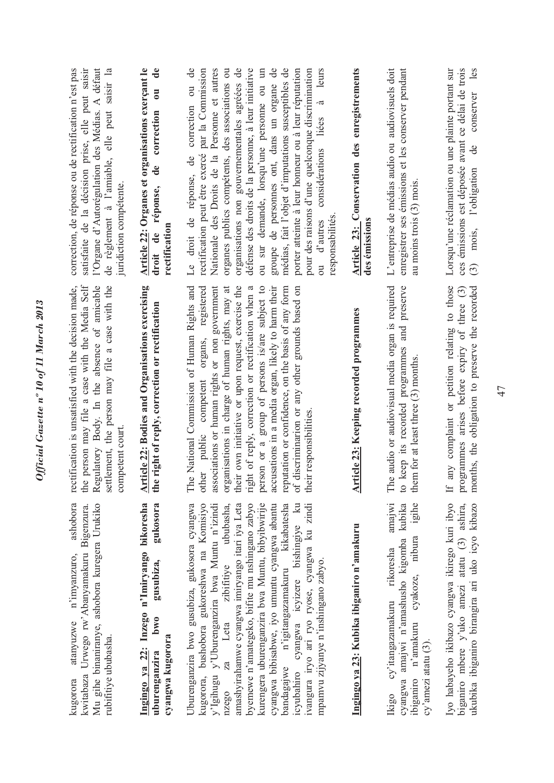ashobora Mu gihe binaniranye, ashobora kuregera Urukiko kugorora atanyuzwe n'imyanzuro, ashobora kwitabaza Urwego rw'Abanyamakuru Bigenzura. kwitabaza Urwego rw'Abanyamakuru Bigenzura. Mu gihe binaniranye, ashobora kuregera Urukiko atanyuzwe n'imyanzuro, rubifitiye ububasha. rubifitiye ububasha. kugorora

gusubiza, gukosora Ingingo ya 22: Inzego n'Imiryango bikoresha **Ingingo ya 22: Inzego n'Imiryango bikoresha uburenganzira bwo gusubiza, gukosora**   $bw0$ cyangwa kugorora **cyangwa kugorora** uburenganzira

Uburenganzira bwo gusubiza, gukosora cyangwa kugorora, bushobora gukoreshwa na Komisiyo byemewe n'amategeko, bifite mu nshingano zabyo kurengera uburenganzira bwa Muntu, bibyibwirije bandagajwe n'igitangazamakuru kikabatesha Uburenganzira bwo gusubiza, gukosora cyangwa kugorora, bushobora gukoreshwa na Komisiyo y'Igihugu y'Uburenganzira bwa Muntu n'izindi y'Igihugu y'Uburenganzira bwa Muntu n'izindi za Leta zibifitiye ububasha, nzego za Leta zibifitiye ububasha, amashyirahamwe cyangwa imiryango itari iya Leta amashyirahamwe cyangwa imiryango itari iya Leta byemewe n'amategeko, bifite mu nshingano zabyo kurengera uburenganzira bwa Muntu, bibyibwirije cyangwa bibisabwe, iyo umuntu cyangwa abantu cyangwa bibisabwe, iyo umuntu cyangwa abantu bandagajwe n'igitangazamakuru kikabatesha icyubahiro cyangwa icyizere bishingiye ku icyubahiro cyangwa icyizere bishingiye ku ivangura iryo ari ryo ryose, cyangwa ku zindi ivangura iryo ari ryo ryose, cyangwa ku zindi mpamvu zijyanye n'inshingano zabyo. mpamvu zijyanye n'inshingano zabyo.  $17680$ 

the person may file a case with the Media Self rectification is unsatisfied with the decision made, the person may file a case with the Media Self Regulatory Body. In the absence of amicable Regulatory Body. In the absence of amicable settlement, the person may file a case with the rectification is unsatisfied with the decision made, settlement, the person may file a case with the competent court. competent court.

Article 22: Bodies and Organisations exercising **Article 22: Bodies and Organisations exercising**  the right of reply, correction or rectification **the right of reply, correction or rectification**  The National Commission of Human Rights and other public competent organs, registered The National Commission of Human Rights and other public competent organs, registered associations or human rights or non government associations or human rights or non government organisations in charge of human rights, may at organisations in charge of human rights, may at their own initiative or upon request, exercise the their own initiative or upon request, exercise the right of reply, correction or rectification when a right of reply, correction or rectification when a person or a group of persons is/are subject to person or a group of persons is/are subject to accusations in a media organ, likely to harm their accusations in a media organ, likely to harm their reputation or confidence, on the basis of any form reputation or confidence, on the basis of any form of discriminarion or any other grounds based on of discriminarion or any other grounds based on their responsibilities. their responsibilities.

## Ingingo ya 23: Kubika ibiganiro n'amakuru **Ingingo ya 23: Kubika ibiganiro n'amakuru**

amajwi cyangwa amajwi n'amashusho kigomba kubika ibiganiro n'amakuru cyakoze, nibura igihe Ikigo cy'itangazamakuru rikoresha amajwi cyangwa amajwi n'amashusho kigomba kubika ibiganiro n'amakuru cyakoze, nibura igihe cy'itangazamakuru rikoresha  $cy'$ amezi atatu $(3)$ . cy'amezi atatu (3). Ikigo

Iyo habayeho ikibazo cyangwa ikirego kuri ibyo biganiro mbere y'uko amezi atatu (3) ashira, ukubika ibiganiro birangira ari uko icyo kibazo Iyo habayeho ikibazo cyangwa ikirego kuri ibyo biganiro mbere y'uko amezi atatu (3) ashira, ukubika ibiganiro birangira ari uko icyo kibazo

Article 23: Keeping recorded programmes **Article 23: Keeping recorded programmes**  The audio or audiovisual media organ is required to keep its recorded programmes and preserve The audio or audiovisual media organ is required to keep its recorded programmes and preserve them for at least three (3) months. them for at least three (3) months. If any complaint or petition relating to those months, the obligation to preserve the recorded If any complaint or petition relating to those programmes arises before expiry of three (3) programmes arises before expiry of three (3) months, the obligation to preserve the recorded

correction, de réponse ou de rectification n'est pas satisfaite de la décision prise, elle peut saisir satisfaite de la décision prise, elle peut saisir 'Organe d'Autorégulation des Médias. A défaut l'Organe d'Autorégulation des Médias. A défaut de règlement à l'amiable, elle peut saisir la de règlement à l'amiable, elle peut saisir la correction, de réponse ou de rectification n'est pas juridiction compétente. uridiction compétente.

## $\mathbf{d}\mathbf{e}$ Article 22: Organes et organisations exerçant le **Article 22: Organes et organisations exerçant le droit de réponse, de correction ou de**  droit de réponse, de correction ou **rectification**

Le droit de réponse, de correction ou de Le droit de réponse, de correction ou de rectification peut être exercé par la Commission Nationale des Droits de la Personne et autres organes publics compétents, des associations ou organes publics compétents, des associations ou organisations non gouvernementales agréées de défense des droits de la personne, à leur initiative ou sur demande, lorsqu'une personne ou un groupe de personnes ont, dans un organe de médias, fait l'objet d'imputations susceptibles de porter atteinte à leur honneur ou à leur réputation porter atteinte à leur honneur ou à leur réputation pour des raisons d'une quelconque discrimination ou d'autres considérations liées à leurs rectification peut être exercé par la Commission Nationale des Droits de la Personne et autres organisations non gouvernementales agréées de défense des droits de la personne, à leur initiative ou sur demande, lorsqu'une personne ou un groupe de personnes ont, dans un organe de médias, fait l'objet d'imputations susceptibles de pour des raisons d'une quelconque discrimination leurs  $\overline{a}$ ou d'autres considérations liées responsabilités. responsabilités.

## **Article 23: Conservation des enregistrements**  Article 23: Conservation des enregistrements des émissions **des émissions**

L'entreprise de médias audio ou audiovisuels doit enregistrer ses émissions et les conserver pendant L'entreprise de médias audio ou audiovisuels doit enregistrer ses émissions et les conserver pendant au moins trois (3) mois. au moins trois (3) mois.

Lorsqu'une réclamation ou une plainte portant sur ces émissions est déposée avant ce délai de trois (3) mois, l'obligation de conserver les les Lorsqu'une réclamation ou une plainte portant sur ces émissions est déposée avant ce délai de trois conserver (3) mois, l'obligation de